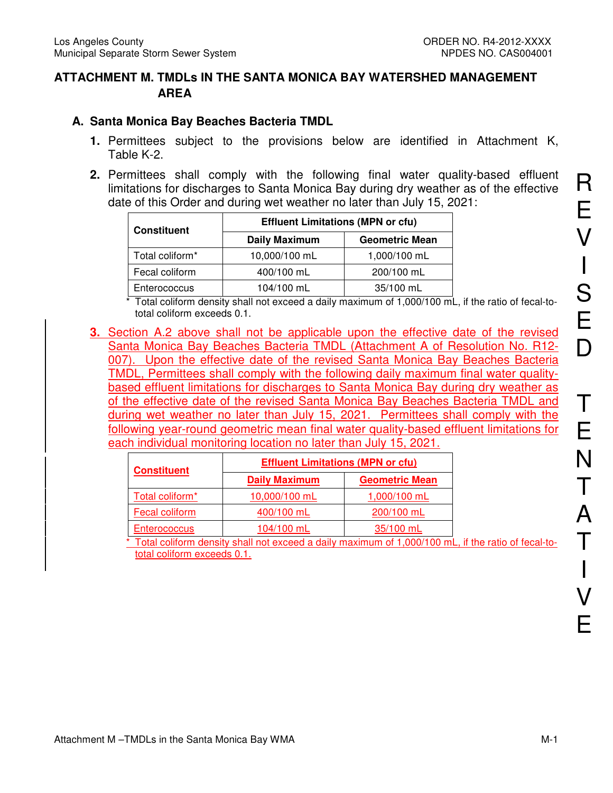## **ATTACHMENT M. TMDLs IN THE SANTA MONICA BAY WATERSHED MANAGEMENT AREA**

## **A. Santa Monica Bay Beaches Bacteria TMDL**

- **1.** Permittees subject to the provisions below are identified in Attachment K, Table K-2.
- **2.** Permittees shall comply with the following final water quality-based effluent limitations for discharges to Santa Monica Bay during dry weather as of the effective date of this Order and during wet weather no later than July 15, 2021:

| <b>Constituent</b> | <b>Effluent Limitations (MPN or cfu)</b> |                       |  |  |  |
|--------------------|------------------------------------------|-----------------------|--|--|--|
|                    | <b>Daily Maximum</b>                     | <b>Geometric Mean</b> |  |  |  |
| Total coliform*    | 10,000/100 mL                            | 1,000/100 mL          |  |  |  |
| Fecal coliform     | 400/100 mL                               | 200/100 mL            |  |  |  |
| Enterococcus       | 104/100 mL                               | 35/100 mL             |  |  |  |

\* Total coliform density shall not exceed a daily maximum of 1,000/100 mL, if the ratio of fecal-tototal coliform exceeds 0.1.

**3.** Section A.2 above shall not be applicable upon the effective date of the revised Santa Monica Bay Beaches Bacteria TMDL (Attachment A of Resolution No. R12- 007). Upon the effective date of the revised Santa Monica Bay Beaches Bacteria TMDL, Permittees shall comply with the following daily maximum final water qualitybased effluent limitations for discharges to Santa Monica Bay during dry weather as of the effective date of the revised Santa Monica Bay Beaches Bacteria TMDL and during wet weather no later than July 15, 2021. Permittees shall comply with the following year-round geometric mean final water quality-based effluent limitations for each individual monitoring location no later than July 15, 2021.

| <b>Constituent</b>          | <b>Effluent Limitations (MPN or cfu)</b> |                       |  |  |  |
|-----------------------------|------------------------------------------|-----------------------|--|--|--|
|                             | <b>Daily Maximum</b>                     | <b>Geometric Mean</b> |  |  |  |
| Total coliform <sup>*</sup> | 10,000/100 mL                            | 1,000/100 mL          |  |  |  |
| Fecal coliform              | 400/100 mL                               | 200/100 mL            |  |  |  |
| Enterococcus                | 104/100 mL                               | 35/100 mL             |  |  |  |

Total coliform density shall not exceed a daily maximum of 1,000/100 mL, if the ratio of fecal-tototal coliform exceeds 0.1.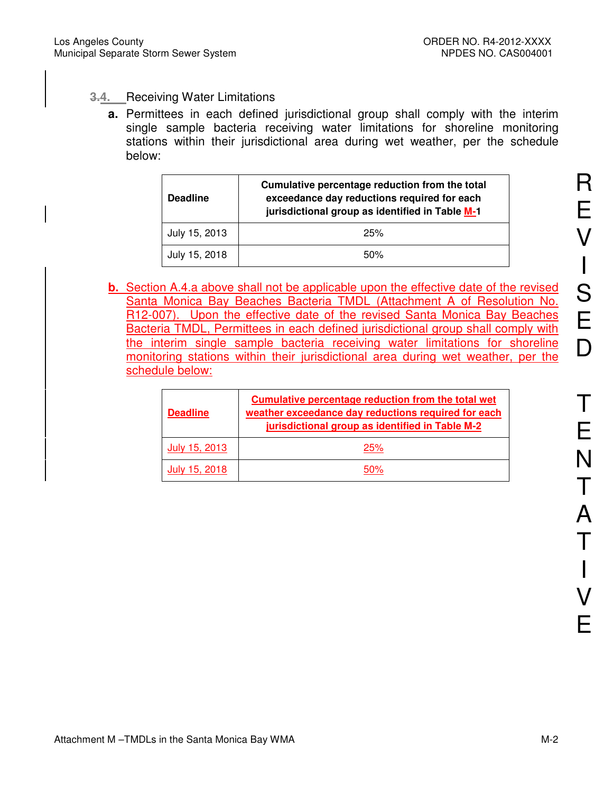# **3.4.** Receiving Water Limitations

**a.** Permittees in each defined jurisdictional group shall comply with the interim single sample bacteria receiving water limitations for shoreline monitoring stations within their jurisdictional area during wet weather, per the schedule below:

| <b>Deadline</b> | Cumulative percentage reduction from the total<br>exceedance day reductions required for each<br>jurisdictional group as identified in Table M-1 |
|-----------------|--------------------------------------------------------------------------------------------------------------------------------------------------|
| July 15, 2013   | 25%                                                                                                                                              |
| July 15, 2018   | 50%                                                                                                                                              |

**b.** Section A.4.a above shall not be applicable upon the effective date of the revised Santa Monica Bay Beaches Bacteria TMDL (Attachment A of Resolution No. R12-007). Upon the effective date of the revised Santa Monica Bay Beaches Bacteria TMDL, Permittees in each defined jurisdictional group shall comply with the interim single sample bacteria receiving water limitations for shoreline monitoring stations within their jurisdictional area during wet weather, per the schedule below:

| <b>Deadline</b> | Cumulative percentage reduction from the total wet<br>weather exceedance day reductions required for each<br>jurisdictional group as identified in Table M-2 |
|-----------------|--------------------------------------------------------------------------------------------------------------------------------------------------------------|
| July 15, 2013   | 25%                                                                                                                                                          |
| July 15, 2018   | n%.                                                                                                                                                          |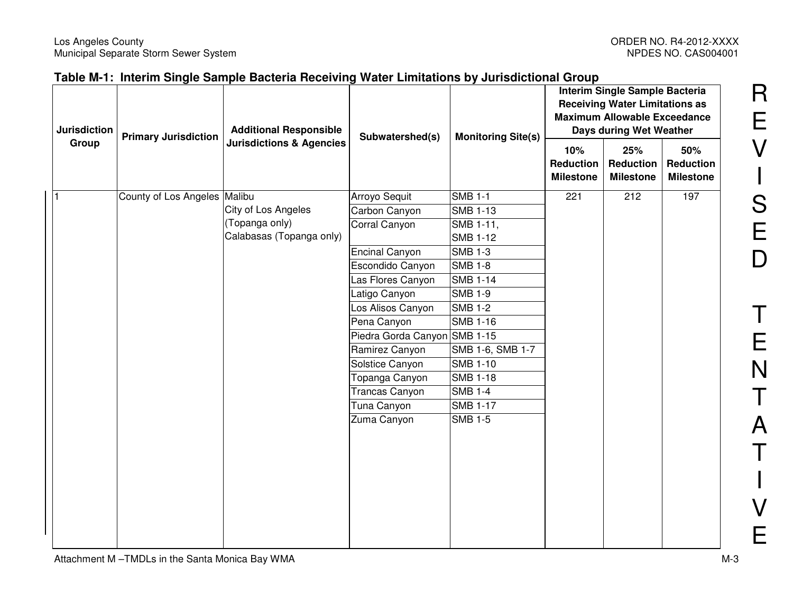| <b>Jurisdiction</b> | <b>Primary Jurisdiction</b>  | <b>Additional Responsible</b>       | Subwatershed(s)              |                  |                                             |                                             |                                             |  |  |  |  | <b>Monitoring Site(s)</b> |  | Interim Single Sample Bacteria<br><b>Receiving Water Limitations as</b><br><b>Maximum Allowable Exceedance</b><br>Days during Wet Weather |  |
|---------------------|------------------------------|-------------------------------------|------------------------------|------------------|---------------------------------------------|---------------------------------------------|---------------------------------------------|--|--|--|--|---------------------------|--|-------------------------------------------------------------------------------------------------------------------------------------------|--|
| Group               |                              | <b>Jurisdictions &amp; Agencies</b> |                              |                  | 10%<br><b>Reduction</b><br><b>Milestone</b> | 25%<br><b>Reduction</b><br><b>Milestone</b> | 50%<br><b>Reduction</b><br><b>Milestone</b> |  |  |  |  |                           |  |                                                                                                                                           |  |
|                     | County of Los Angeles Malibu |                                     | Arroyo Sequit                | <b>SMB 1-1</b>   | 221                                         | 212                                         | 197                                         |  |  |  |  |                           |  |                                                                                                                                           |  |
|                     |                              | City of Los Angeles                 | Carbon Canyon                | <b>SMB 1-13</b>  |                                             |                                             |                                             |  |  |  |  |                           |  |                                                                                                                                           |  |
|                     |                              | (Topanga only)                      | Corral Canyon                | SMB 1-11,        |                                             |                                             |                                             |  |  |  |  |                           |  |                                                                                                                                           |  |
|                     |                              | Calabasas (Topanga only)            |                              | <b>SMB 1-12</b>  |                                             |                                             |                                             |  |  |  |  |                           |  |                                                                                                                                           |  |
|                     |                              |                                     | <b>Encinal Canyon</b>        | <b>SMB 1-3</b>   |                                             |                                             |                                             |  |  |  |  |                           |  |                                                                                                                                           |  |
|                     |                              |                                     | Escondido Canyon             | <b>SMB 1-8</b>   |                                             |                                             |                                             |  |  |  |  |                           |  |                                                                                                                                           |  |
|                     |                              |                                     | Las Flores Canyon            | <b>SMB 1-14</b>  |                                             |                                             |                                             |  |  |  |  |                           |  |                                                                                                                                           |  |
|                     |                              |                                     | Latigo Canyon                | <b>SMB 1-9</b>   |                                             |                                             |                                             |  |  |  |  |                           |  |                                                                                                                                           |  |
|                     |                              |                                     | Los Alisos Canyon            | <b>SMB 1-2</b>   |                                             |                                             |                                             |  |  |  |  |                           |  |                                                                                                                                           |  |
|                     |                              |                                     | Pena Canyon                  | <b>SMB 1-16</b>  |                                             |                                             |                                             |  |  |  |  |                           |  |                                                                                                                                           |  |
|                     |                              |                                     | Piedra Gorda Canyon SMB 1-15 |                  |                                             |                                             |                                             |  |  |  |  |                           |  |                                                                                                                                           |  |
|                     |                              |                                     | Ramirez Canyon               | SMB 1-6, SMB 1-7 |                                             |                                             |                                             |  |  |  |  |                           |  |                                                                                                                                           |  |
|                     |                              |                                     | Solstice Canyon              | <b>SMB 1-10</b>  |                                             |                                             |                                             |  |  |  |  |                           |  |                                                                                                                                           |  |
|                     |                              |                                     | Topanga Canyon               | <b>SMB 1-18</b>  |                                             |                                             |                                             |  |  |  |  |                           |  |                                                                                                                                           |  |
|                     |                              |                                     | <b>Trancas Canyon</b>        | <b>SMB 1-4</b>   |                                             |                                             |                                             |  |  |  |  |                           |  |                                                                                                                                           |  |
|                     |                              |                                     | Tuna Canyon                  | <b>SMB 1-17</b>  |                                             |                                             |                                             |  |  |  |  |                           |  |                                                                                                                                           |  |
|                     |                              |                                     | Zuma Canyon                  | <b>SMB 1-5</b>   |                                             |                                             |                                             |  |  |  |  |                           |  |                                                                                                                                           |  |
|                     |                              |                                     |                              |                  |                                             |                                             |                                             |  |  |  |  |                           |  |                                                                                                                                           |  |
|                     |                              |                                     |                              |                  |                                             |                                             |                                             |  |  |  |  |                           |  |                                                                                                                                           |  |
|                     |                              |                                     |                              |                  |                                             |                                             |                                             |  |  |  |  |                           |  |                                                                                                                                           |  |
|                     |                              |                                     |                              |                  |                                             |                                             |                                             |  |  |  |  |                           |  |                                                                                                                                           |  |
|                     |                              |                                     |                              |                  |                                             |                                             |                                             |  |  |  |  |                           |  |                                                                                                                                           |  |
|                     |                              |                                     |                              |                  |                                             |                                             |                                             |  |  |  |  |                           |  |                                                                                                                                           |  |
|                     |                              |                                     |                              |                  |                                             |                                             |                                             |  |  |  |  |                           |  |                                                                                                                                           |  |
|                     |                              |                                     |                              |                  |                                             |                                             |                                             |  |  |  |  |                           |  |                                                                                                                                           |  |

R

E

V

S

 $\begin{array}{c} \rule{0pt}{2.5ex} \rule{0pt}{2.5ex} \rule{0pt}{2.5ex} \rule{0pt}{2.5ex} \rule{0pt}{2.5ex} \rule{0pt}{2.5ex} \rule{0pt}{2.5ex} \rule{0pt}{2.5ex} \rule{0pt}{2.5ex} \rule{0pt}{2.5ex} \rule{0pt}{2.5ex} \rule{0pt}{2.5ex} \rule{0pt}{2.5ex} \rule{0pt}{2.5ex} \rule{0pt}{2.5ex} \rule{0pt}{2.5ex} \rule{0pt}{2.5ex} \rule{0pt}{2.5ex} \rule{0pt}{2.5ex} \rule{0$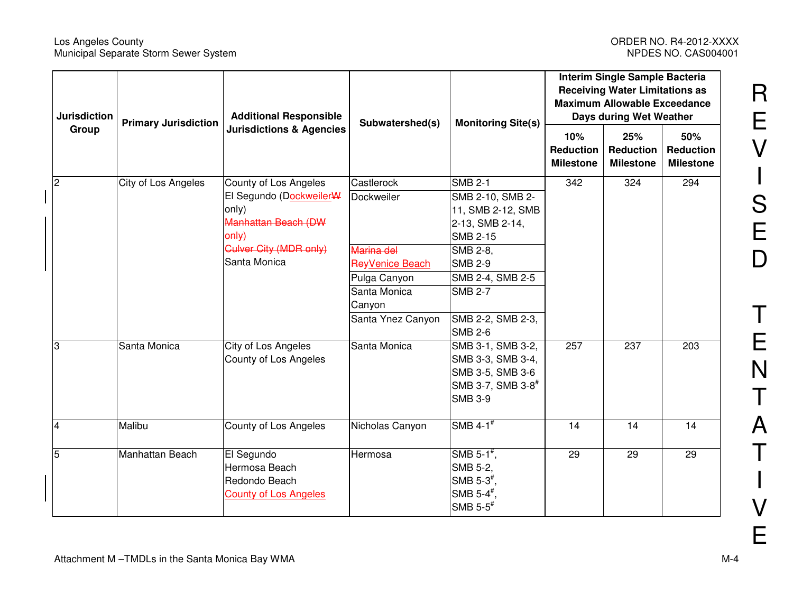#### Los Angeles County ORDER NO. R4-2012-XXXX Municipal Separate Storm Sewer System NPDES NO. CAS004001

|                | <b>Jurisdiction</b><br><b>Additional Responsible</b><br><b>Primary Jurisdiction</b> |                                     | Subwatershed(s)   | <b>Monitoring Site(s)</b>             | Interim Single Sample Bacteria<br><b>Receiving Water Limitations as</b><br><b>Maximum Allowable Exceedance</b><br>Days during Wet Weather |                                             |                                             |
|----------------|-------------------------------------------------------------------------------------|-------------------------------------|-------------------|---------------------------------------|-------------------------------------------------------------------------------------------------------------------------------------------|---------------------------------------------|---------------------------------------------|
| Group          |                                                                                     | <b>Jurisdictions &amp; Agencies</b> |                   |                                       | 10%<br><b>Reduction</b><br><b>Milestone</b>                                                                                               | 25%<br><b>Reduction</b><br><b>Milestone</b> | 50%<br><b>Reduction</b><br><b>Milestone</b> |
| $\overline{2}$ | City of Los Angeles                                                                 | County of Los Angeles               | Castlerock        | <b>SMB 2-1</b>                        | 342                                                                                                                                       | 324                                         | 294                                         |
|                |                                                                                     | El Segundo (DockweilerW-            | Dockweiler        | SMB 2-10, SMB 2-                      |                                                                                                                                           |                                             |                                             |
|                |                                                                                     | only)                               |                   | 11, SMB 2-12, SMB                     |                                                                                                                                           |                                             |                                             |
|                |                                                                                     | <b>Manhattan Beach (DW</b>          |                   | 2-13, SMB 2-14,                       |                                                                                                                                           |                                             |                                             |
|                |                                                                                     | only)                               |                   | <b>SMB 2-15</b>                       |                                                                                                                                           |                                             |                                             |
|                |                                                                                     | <b>Culver City (MDR only)</b>       | Marina del        | SMB 2-8,                              |                                                                                                                                           |                                             |                                             |
|                |                                                                                     | Santa Monica                        | ReyVenice Beach   | <b>SMB 2-9</b>                        |                                                                                                                                           |                                             |                                             |
|                |                                                                                     |                                     | Pulga Canyon      | SMB 2-4, SMB 2-5                      |                                                                                                                                           |                                             |                                             |
|                |                                                                                     |                                     | Santa Monica      | <b>SMB 2-7</b>                        |                                                                                                                                           |                                             |                                             |
|                |                                                                                     |                                     | Canyon            |                                       |                                                                                                                                           |                                             |                                             |
|                |                                                                                     |                                     | Santa Ynez Canyon | SMB 2-2, SMB 2-3,                     |                                                                                                                                           |                                             |                                             |
|                |                                                                                     |                                     |                   | <b>SMB 2-6</b>                        |                                                                                                                                           |                                             |                                             |
| ß.             | Santa Monica                                                                        | City of Los Angeles                 | Santa Monica      | SMB 3-1, SMB 3-2,                     | 257                                                                                                                                       | 237                                         | 203                                         |
|                |                                                                                     | County of Los Angeles               |                   | SMB 3-3, SMB 3-4,<br>SMB 3-5, SMB 3-6 |                                                                                                                                           |                                             |                                             |
|                |                                                                                     |                                     |                   | SMB 3-7, SMB 3-8 <sup>#</sup>         |                                                                                                                                           |                                             |                                             |
|                |                                                                                     |                                     |                   | <b>SMB 3-9</b>                        |                                                                                                                                           |                                             |                                             |
|                |                                                                                     |                                     |                   |                                       |                                                                                                                                           |                                             |                                             |
| 4              | Malibu                                                                              | County of Los Angeles               | Nicholas Canyon   | SMB $4-1$ <sup>#</sup>                | 14                                                                                                                                        | 14                                          | 14                                          |
| 5              | Manhattan Beach                                                                     | El Segundo                          | Hermosa           | SMB 5-1 $^{\#}$ ,                     | 29                                                                                                                                        | 29                                          | 29                                          |
|                |                                                                                     | Hermosa Beach                       |                   | SMB 5-2,                              |                                                                                                                                           |                                             |                                             |
|                |                                                                                     | Redondo Beach                       |                   | SMB $5-3^{\frac{4}{3}}$ ,             |                                                                                                                                           |                                             |                                             |
|                |                                                                                     | <b>County of Los Angeles</b>        |                   | SMB 5-4 $#$                           |                                                                                                                                           |                                             |                                             |
|                |                                                                                     |                                     |                   | SMB $5-5$ <sup>#</sup>                |                                                                                                                                           |                                             |                                             |

R

E

V

 $\begin{array}{c} \rule{0pt}{2.5ex} \rule{0pt}{2.5ex} \rule{0pt}{2.5ex} \rule{0pt}{2.5ex} \rule{0pt}{2.5ex} \rule{0pt}{2.5ex} \rule{0pt}{2.5ex} \rule{0pt}{2.5ex} \rule{0pt}{2.5ex} \rule{0pt}{2.5ex} \rule{0pt}{2.5ex} \rule{0pt}{2.5ex} \rule{0pt}{2.5ex} \rule{0pt}{2.5ex} \rule{0pt}{2.5ex} \rule{0pt}{2.5ex} \rule{0pt}{2.5ex} \rule{0pt}{2.5ex} \rule{0pt}{2.5ex} \rule{0$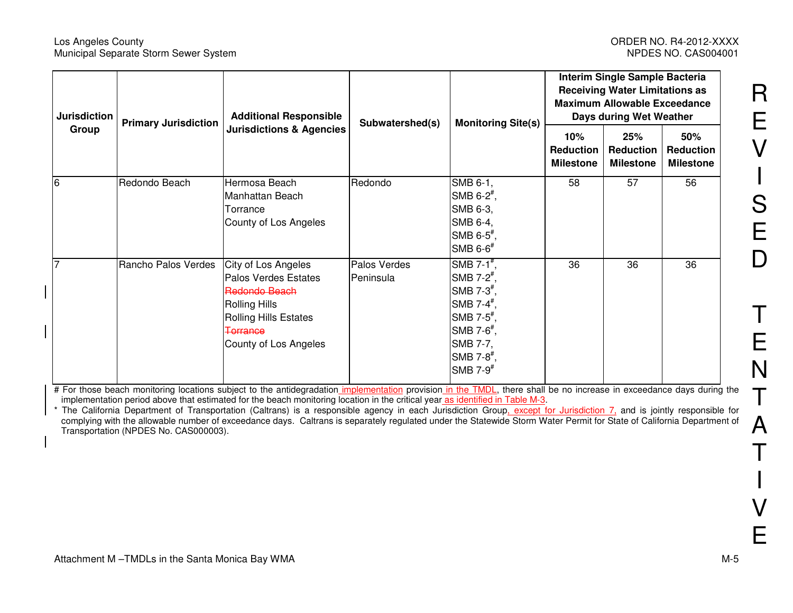#### Los Angeles County ORDER NO. R4-2012-XXXX Municipal Separate Storm Sewer System

| <b>Jurisdiction</b> | <b>Additional Responsible</b><br><b>Primary Jurisdiction</b> |                                                                                                                                                                         | Subwatershed(s)           |                                                                                                                                                                                                                           | <b>Monitoring Site(s)</b>                   | Interim Single Sample Bacteria<br><b>Receiving Water Limitations as</b><br><b>Maximum Allowable Exceedance</b><br>Days during Wet Weather |                                             |  |
|---------------------|--------------------------------------------------------------|-------------------------------------------------------------------------------------------------------------------------------------------------------------------------|---------------------------|---------------------------------------------------------------------------------------------------------------------------------------------------------------------------------------------------------------------------|---------------------------------------------|-------------------------------------------------------------------------------------------------------------------------------------------|---------------------------------------------|--|
| Group               |                                                              | <b>Jurisdictions &amp; Agencies</b>                                                                                                                                     |                           |                                                                                                                                                                                                                           | 10%<br><b>Reduction</b><br><b>Milestone</b> | 25%<br><b>Reduction</b><br><b>Milestone</b>                                                                                               | 50%<br><b>Reduction</b><br><b>Milestone</b> |  |
| 6                   | Redondo Beach                                                | Hermosa Beach<br>Manhattan Beach<br>Torrance<br>County of Los Angeles                                                                                                   | Redondo                   | SMB 6-1,<br>SMB $6-2^{\frac{\pi}{2}}$ ,<br>SMB 6-3,<br>SMB 6-4,<br>SMB $6-5^{\frac{1}{7}}$ ,<br>SMB $6-6$ <sup>#</sup>                                                                                                    | 58                                          | 57                                                                                                                                        | 56                                          |  |
|                     | Rancho Palos Verdes                                          | City of Los Angeles<br><b>Palos Verdes Estates</b><br>Redondo Beach<br><b>Rolling Hills</b><br><b>Rolling Hills Estates</b><br><b>Terrance</b><br>County of Los Angeles | Palos Verdes<br>Peninsula | SMB 7-1 $#$ ,<br>SMB 7- $2^{\frac{1}{2}}$ ,<br>SMB $7-3^{\frac{4}{7}}$ ,<br>SMB 7-4 $#$ ,<br>$\mathsf{SMB}$ 7-5 <sup>#</sup> ,<br>$\mathsf{SMB}$ 7-6 <sup>#</sup> ,<br>SMB 7-7,<br>$SMB 7-8*$ ,<br>SMB $7-9$ <sup>#</sup> | 36                                          | 36                                                                                                                                        | 36                                          |  |

# For those beach monitoring locations subject to the antidegradation implementation provision in the TMDL, there shall be no increase in exceedance days during the implementation period above that estimated for the beach monitoring location in the critical year as identified in Table M-3.

\* The California Department of Transportation (Caltrans) is a responsible agency in each Jurisdiction Group, except for Jurisdiction 7, and is jointly responsible for complying with the allowable number of exceedance days. Caltrans is separately regulated under the Statewide Storm Water Permit for State of California Department of Transportation (NPDES No. CAS000003).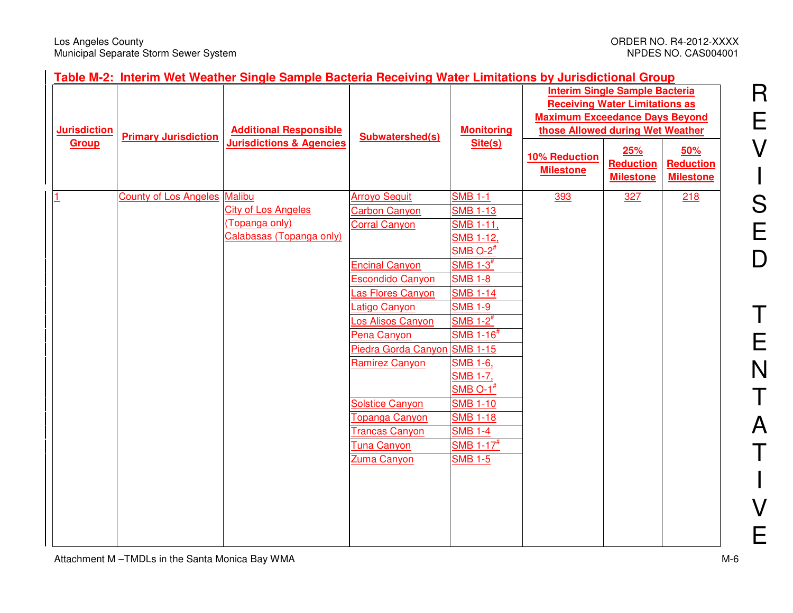R

E

V

S

 $\begin{array}{c} \hline \end{array}$ 

E

D

T

E

N

T

A

T

I

V

E

| <b>Jurisdiction</b> | <b>Additional Responsible</b><br><b>Primary Jurisdiction</b> |                                     | <b>Subwatershed(s)</b>                       |                                   |                                   |                                             |                                             |  |  |  |  | <b>Monitoring</b> | <b>Interim Single Sample Bacteria</b><br><b>Receiving Water Limitations as</b><br><b>Maximum Exceedance Days Beyond</b><br>those Allowed during Wet Weather |  |  |
|---------------------|--------------------------------------------------------------|-------------------------------------|----------------------------------------------|-----------------------------------|-----------------------------------|---------------------------------------------|---------------------------------------------|--|--|--|--|-------------------|-------------------------------------------------------------------------------------------------------------------------------------------------------------|--|--|
| Group               |                                                              | <b>Jurisdictions &amp; Agencies</b> |                                              | Site(s)                           | 10% Reduction<br><b>Milestone</b> | 25%<br><b>Reduction</b><br><b>Milestone</b> | 50%<br><b>Reduction</b><br><b>Milestone</b> |  |  |  |  |                   |                                                                                                                                                             |  |  |
|                     | <b>County of Los Angeles Malibu</b>                          |                                     | <b>Arroyo Sequit</b>                         | <b>SMB 1-1</b>                    | 393                               | 327                                         | 218                                         |  |  |  |  |                   |                                                                                                                                                             |  |  |
|                     |                                                              | <b>City of Los Angeles</b>          | <b>Carbon Canyon</b>                         | <b>SMB 1-13</b>                   |                                   |                                             |                                             |  |  |  |  |                   |                                                                                                                                                             |  |  |
|                     |                                                              | (Topanga only)                      | <b>Corral Canyon</b>                         | <b>SMB 1-11,</b>                  |                                   |                                             |                                             |  |  |  |  |                   |                                                                                                                                                             |  |  |
|                     |                                                              | Calabasas (Topanga only)            |                                              | <b>SMB 1-12,</b>                  |                                   |                                             |                                             |  |  |  |  |                   |                                                                                                                                                             |  |  |
|                     |                                                              |                                     |                                              | $SMB O-2^{\#}$                    |                                   |                                             |                                             |  |  |  |  |                   |                                                                                                                                                             |  |  |
|                     |                                                              |                                     | <b>Encinal Canyon</b>                        | $SMB$ 1-3 $#$                     |                                   |                                             |                                             |  |  |  |  |                   |                                                                                                                                                             |  |  |
|                     |                                                              |                                     | <b>Escondido Canyon</b><br>Las Flores Canyon | <b>SMB 1-8</b><br><b>SMB 1-14</b> |                                   |                                             |                                             |  |  |  |  |                   |                                                                                                                                                             |  |  |
|                     |                                                              |                                     | Latigo Canyon                                | <b>SMB 1-9</b>                    |                                   |                                             |                                             |  |  |  |  |                   |                                                                                                                                                             |  |  |
|                     |                                                              |                                     | Los Alisos Canyon                            | SMB $1-2^{\#}$                    |                                   |                                             |                                             |  |  |  |  |                   |                                                                                                                                                             |  |  |
|                     |                                                              |                                     | Pena Canyon                                  | $SMB$ 1-16 <sup>#</sup>           |                                   |                                             |                                             |  |  |  |  |                   |                                                                                                                                                             |  |  |
|                     |                                                              |                                     | Piedra Gorda Canyon                          | <b>SMB 1-15</b>                   |                                   |                                             |                                             |  |  |  |  |                   |                                                                                                                                                             |  |  |
|                     |                                                              |                                     | <b>Ramirez Canyon</b>                        | <b>SMB 1-6.</b>                   |                                   |                                             |                                             |  |  |  |  |                   |                                                                                                                                                             |  |  |
|                     |                                                              |                                     |                                              | <b>SMB 1-7,</b>                   |                                   |                                             |                                             |  |  |  |  |                   |                                                                                                                                                             |  |  |
|                     |                                                              |                                     |                                              | SMB $O-1$ <sup>#</sup>            |                                   |                                             |                                             |  |  |  |  |                   |                                                                                                                                                             |  |  |
|                     |                                                              |                                     | <b>Solstice Canyon</b>                       | <b>SMB 1-10</b>                   |                                   |                                             |                                             |  |  |  |  |                   |                                                                                                                                                             |  |  |
|                     |                                                              |                                     | Topanga Canyon                               | <b>SMB 1-18</b>                   |                                   |                                             |                                             |  |  |  |  |                   |                                                                                                                                                             |  |  |
|                     |                                                              |                                     | <b>Trancas Canyon</b>                        | <b>SMB 1-4</b>                    |                                   |                                             |                                             |  |  |  |  |                   |                                                                                                                                                             |  |  |
|                     |                                                              |                                     | <b>Tuna Canyon</b>                           | SMB $1-17^{\#}$                   |                                   |                                             |                                             |  |  |  |  |                   |                                                                                                                                                             |  |  |
|                     |                                                              |                                     | Zuma Canyon                                  | <b>SMB 1-5</b>                    |                                   |                                             |                                             |  |  |  |  |                   |                                                                                                                                                             |  |  |
|                     |                                                              |                                     |                                              |                                   |                                   |                                             |                                             |  |  |  |  |                   |                                                                                                                                                             |  |  |
|                     |                                                              |                                     |                                              |                                   |                                   |                                             |                                             |  |  |  |  |                   |                                                                                                                                                             |  |  |
|                     |                                                              |                                     |                                              |                                   |                                   |                                             |                                             |  |  |  |  |                   |                                                                                                                                                             |  |  |
|                     |                                                              |                                     |                                              |                                   |                                   |                                             |                                             |  |  |  |  |                   |                                                                                                                                                             |  |  |
|                     |                                                              |                                     |                                              |                                   |                                   |                                             |                                             |  |  |  |  |                   |                                                                                                                                                             |  |  |

#### **Table M-2: Interim Wet Weather Single Sample Bacteria Receiving Water Limitations by Jurisdictional Group**

Attachment M-TMDLs in the Santa Monica Bay WMA M-6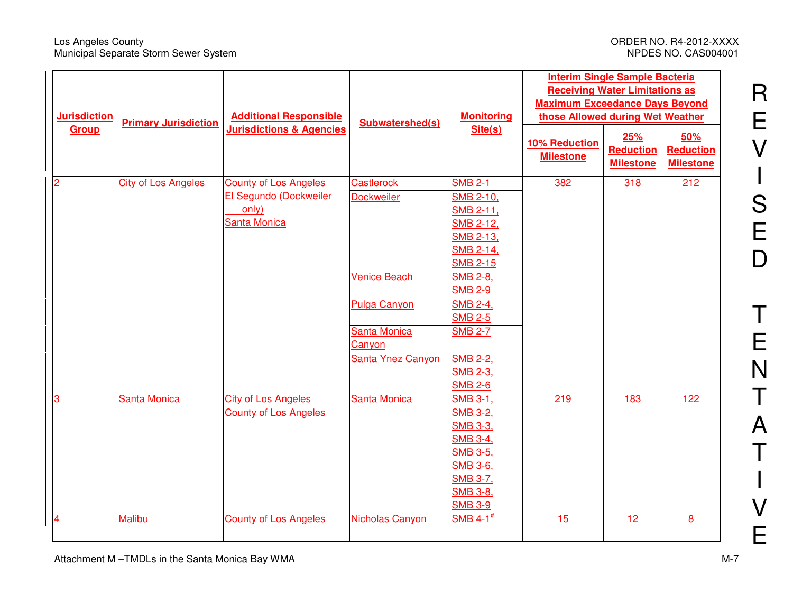#### Los Angeles County ORDER NO. R4-2012-XXXX Municipal Separate Storm Sewer System NPDES NO. CAS004001

R

E

V

S

 $\begin{array}{c} \rule{0pt}{2.5ex} \rule{0pt}{2.5ex} \rule{0pt}{2.5ex} \rule{0pt}{2.5ex} \rule{0pt}{2.5ex} \rule{0pt}{2.5ex} \rule{0pt}{2.5ex} \rule{0pt}{2.5ex} \rule{0pt}{2.5ex} \rule{0pt}{2.5ex} \rule{0pt}{2.5ex} \rule{0pt}{2.5ex} \rule{0pt}{2.5ex} \rule{0pt}{2.5ex} \rule{0pt}{2.5ex} \rule{0pt}{2.5ex} \rule{0pt}{2.5ex} \rule{0pt}{2.5ex} \rule{0pt}{2.5ex} \rule{0$ 

E

D

T

E

N

T

A

T

I

V

| <b>Jurisdiction</b> | <b>Primary Jurisdiction</b>         | <b>Additional Responsible</b> | Subwatershed(s)                          | <b>Monitoring</b>                           | <b>Interim Single Sample Bacteria</b><br><b>Receiving Water Limitations as</b><br><b>Maximum Exceedance Days Beyond</b><br>those Allowed during Wet Weather |     |                 |
|---------------------|-------------------------------------|-------------------------------|------------------------------------------|---------------------------------------------|-------------------------------------------------------------------------------------------------------------------------------------------------------------|-----|-----------------|
| <b>Group</b>        | <b>Jurisdictions &amp; Agencies</b> | Site(s)                       | <b>10% Reduction</b><br><b>Milestone</b> | 25%<br><b>Reduction</b><br><b>Milestone</b> | 50%<br><b>Reduction</b><br><b>Milestone</b>                                                                                                                 |     |                 |
| $\overline{2}$      | <b>City of Los Angeles</b>          | <b>County of Los Angeles</b>  | <b>Castlerock</b>                        | <b>SMB 2-1</b>                              | 382                                                                                                                                                         | 318 | 212             |
|                     |                                     | El Segundo (Dockweiler        | <b>Dockweiler</b>                        | <b>SMB 2-10,</b>                            |                                                                                                                                                             |     |                 |
|                     |                                     | only)                         |                                          | <b>SMB 2-11,</b>                            |                                                                                                                                                             |     |                 |
|                     |                                     | Santa Monica                  |                                          | SMB 2-12,                                   |                                                                                                                                                             |     |                 |
|                     |                                     |                               |                                          | <b>SMB 2-13,</b>                            |                                                                                                                                                             |     |                 |
|                     |                                     |                               |                                          | <b>SMB 2-14,</b>                            |                                                                                                                                                             |     |                 |
|                     |                                     |                               |                                          | <b>SMB 2-15</b>                             |                                                                                                                                                             |     |                 |
|                     |                                     |                               | <b>Venice Beach</b>                      | <b>SMB 2-8,</b>                             |                                                                                                                                                             |     |                 |
|                     |                                     |                               |                                          | <b>SMB 2-9</b>                              |                                                                                                                                                             |     |                 |
|                     |                                     |                               | <b>Pulga Canyon</b>                      | <b>SMB 2-4,</b>                             |                                                                                                                                                             |     |                 |
|                     |                                     |                               |                                          | <b>SMB 2-5</b>                              |                                                                                                                                                             |     |                 |
|                     |                                     |                               | Santa Monica                             | <b>SMB 2-7</b>                              |                                                                                                                                                             |     |                 |
|                     |                                     |                               | Canyon                                   |                                             |                                                                                                                                                             |     |                 |
|                     |                                     |                               | Santa Ynez Canyon                        | <b>SMB 2-2,</b>                             |                                                                                                                                                             |     |                 |
|                     |                                     |                               |                                          | <b>SMB 2-3,</b>                             |                                                                                                                                                             |     |                 |
|                     |                                     |                               |                                          | <b>SMB 2-6</b>                              |                                                                                                                                                             |     |                 |
| $\overline{3}$      | <b>Santa Monica</b>                 | <b>City of Los Angeles</b>    | Santa Monica                             | <b>SMB 3-1,</b>                             | 219                                                                                                                                                         | 183 | <u>122</u>      |
|                     |                                     | <b>County of Los Angeles</b>  |                                          | <b>SMB 3-2,</b><br><b>SMB 3-3,</b>          |                                                                                                                                                             |     |                 |
|                     |                                     |                               |                                          | <b>SMB 3-4,</b>                             |                                                                                                                                                             |     |                 |
|                     |                                     |                               |                                          | <b>SMB 3-5,</b>                             |                                                                                                                                                             |     |                 |
|                     |                                     |                               |                                          | <b>SMB 3-6,</b>                             |                                                                                                                                                             |     |                 |
|                     |                                     |                               |                                          | <b>SMB 3-7,</b>                             |                                                                                                                                                             |     |                 |
|                     |                                     |                               |                                          | <b>SMB 3-8,</b>                             |                                                                                                                                                             |     |                 |
|                     |                                     |                               |                                          | <b>SMB 3-9</b>                              |                                                                                                                                                             |     |                 |
| $\overline{4}$      | <b>Malibu</b>                       | <b>County of Los Angeles</b>  | Nicholas Canyon                          | SMB 4-1 $#$                                 | 15                                                                                                                                                          | 12  | $\underline{8}$ |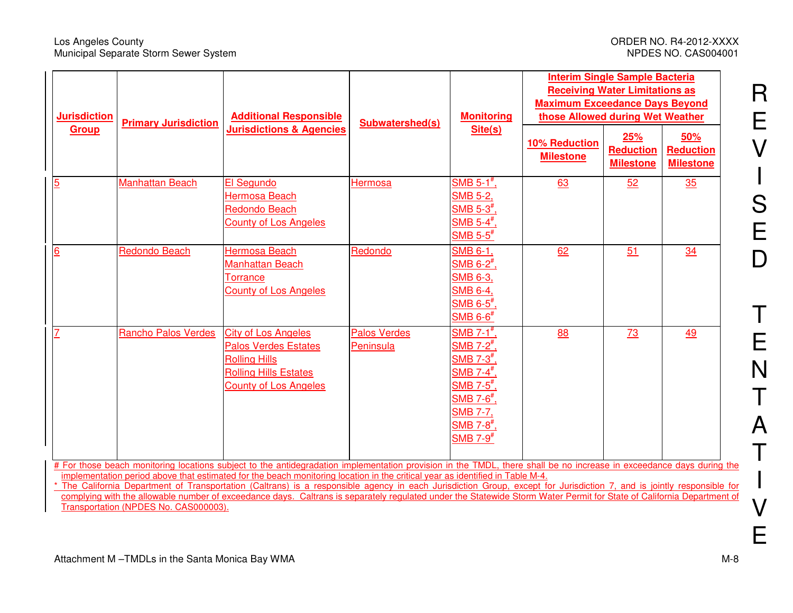#### Los Angeles County<br>
Municipal Separate Storm Sewer System<br>
Municipal Separate Storm Sewer System<br>
ORDER NO. CAS004001 Municipal Separate Storm Sewer System

R

E

V

S

 $\overline{\phantom{a}}$ 

E

D

T

E

N

T

A

T

I

V

E

| <b>Jurisdiction</b> | <b>Primary Jurisdiction</b> | <b>Additional Responsible</b>                                                                                                                                                                                                                                                                         | Subwatershed(s)                  | <b>Monitoring</b>                                                                                                                                                                                                                                                                  | <b>Interim Single Sample Bacteria</b><br><b>Receiving Water Limitations as</b><br><b>Maximum Exceedance Days Beyond</b><br>those Allowed during Wet Weather |                                             |                                             |
|---------------------|-----------------------------|-------------------------------------------------------------------------------------------------------------------------------------------------------------------------------------------------------------------------------------------------------------------------------------------------------|----------------------------------|------------------------------------------------------------------------------------------------------------------------------------------------------------------------------------------------------------------------------------------------------------------------------------|-------------------------------------------------------------------------------------------------------------------------------------------------------------|---------------------------------------------|---------------------------------------------|
| Group               |                             | <b>Jurisdictions &amp; Agencies</b>                                                                                                                                                                                                                                                                   |                                  | Site(s)                                                                                                                                                                                                                                                                            | <b>10% Reduction</b><br><b>Milestone</b>                                                                                                                    | 25%<br><b>Reduction</b><br><b>Milestone</b> | 50%<br><b>Reduction</b><br><b>Milestone</b> |
| $\overline{5}$      | <b>Manhattan Beach</b>      | El Segundo<br><b>Hermosa Beach</b><br><b>Redondo Beach</b><br><b>County of Los Angeles</b>                                                                                                                                                                                                            | Hermosa                          | $SMB 5-1*$ ,<br>SMB 5-2,<br>${\sf SMB}$ 5-3 $^{\#},$<br>$SMB 5-4$ <sup>#</sup><br>$\mathsf{SMB}\mathrel{5\text{-}5}^{\text{*}}$                                                                                                                                                    | 63                                                                                                                                                          | 52                                          | 35                                          |
| 6                   | <b>Redondo Beach</b>        | <b>Hermosa Beach</b><br><b>Manhattan Beach</b><br>Torrance<br><b>County of Los Angeles</b>                                                                                                                                                                                                            | Redondo                          | SMB 6-1,<br>$SMB$ 6-2 $^{\#}$ ,<br>SMB 6-3,<br><b>SMB 6-4</b><br>$\mathsf{SMB}\mathop{6\text{-}5}^{\text{*}}$<br>$\mathsf{SMB}\ 6\mathsf{\text{-}6}^{\text{\#}}$                                                                                                                   | 62                                                                                                                                                          | 51                                          | 34                                          |
| 7                   | <b>Rancho Palos Verdes</b>  | <b>City of Los Angeles</b><br><b>Palos Verdes Estates</b><br><b>Rolling Hills</b><br><b>Rolling Hills Estates</b><br><b>County of Los Angeles</b>                                                                                                                                                     | <b>Palos Verdes</b><br>Peninsula | SMB $7-1$ <sup>#</sup><br>SMB 7-2 <sup>#</sup> ,<br>$\mathsf{SMB}\,$ 7-3 $^{\text{\#}}$<br>$\mathsf{SMB}\,$ 7-4 $^{\texttt{\#}}$<br>${\sf SMB}$ 7-5 $^{\#}$ .<br>$\mathsf{SMB}\mathrel{7\text{-}6}^{\text{*}}$<br>SMB 7-7,<br>$SMB$ 7-8 $#$<br>$\mathsf{SMB}\,$ 7-9 $^{\text{\#}}$ | 88                                                                                                                                                          | <u>73</u>                                   | <u>49</u>                                   |
|                     |                             | # For those beach monitoring locations subject to the antidegradation implementation provision in the TMDL, there shall be no increase in exceedance days during the<br>implementation period above that estimated for the beach monitoring location in the critical year as identified in Table M-4. |                                  |                                                                                                                                                                                                                                                                                    |                                                                                                                                                             |                                             |                                             |

\* The California Department of Transportation (Caltrans) is a responsible agency in each Jurisdiction Group, except for Jurisdiction 7, and is jointly responsible for complying with the allowable number of exceedance days. Caltrans is separately regulated under the Statewide Storm Water Permit for State of California Department of Transportation (NPDES No. CAS000003).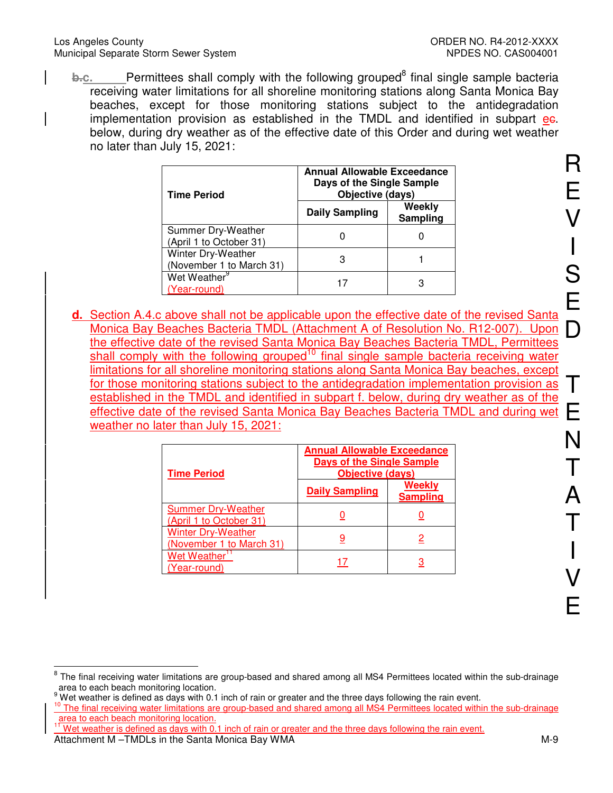#### Los Angeles County ORDER NO. R4-2012-XXXX Municipal Separate Storm Sewer System Network Storm NPDES NO. CAS004001

**b.c.** Permittees shall comply with the following grouped<sup>8</sup> final single sample bacteria receiving water limitations for all shoreline monitoring stations along Santa Monica Bay beaches, except for those monitoring stations subject to the antidegradation implementation provision as established in the TMDL and identified in subpart ee. below, during dry weather as of the effective date of this Order and during wet weather no later than July 15, 2021:

| <b>Time Period</b>                             | <b>Annual Allowable Exceedance</b><br>Days of the Single Sample<br>Objective (days) |                    |  |  |  |
|------------------------------------------------|-------------------------------------------------------------------------------------|--------------------|--|--|--|
|                                                | <b>Daily Sampling</b>                                                               | Weekly<br>Sampling |  |  |  |
| Summer Dry-Weather<br>(April 1 to October 31)  |                                                                                     |                    |  |  |  |
| Winter Dry-Weather<br>(November 1 to March 31) | 3                                                                                   |                    |  |  |  |
| Wet Weather <sup>9</sup><br>(Year-round)       |                                                                                     | З                  |  |  |  |

**d.** Section A.4.c above shall not be applicable upon the effective date of the revised Santa Monica Bay Beaches Bacteria TMDL (Attachment A of Resolution No. R12-007). Upon the effective date of the revised Santa Monica Bay Beaches Bacteria TMDL, Permittees shall comply with the following grouped<sup>10</sup> final single sample bacteria receiving water limitations for all shoreline monitoring stations along Santa Monica Bay beaches, except for those monitoring stations subject to the antidegradation implementation provision as established in the TMDL and identified in subpart f. below, during dry weather as of the effective date of the revised Santa Monica Bay Beaches Bacteria TMDL and during wet weather no later than July 15, 2021:

| <b>Time Period</b>                                    | <b>Annual Allowable Exceedance</b><br><b>Days of the Single Sample</b><br><b>Objective (days)</b> |                                  |  |
|-------------------------------------------------------|---------------------------------------------------------------------------------------------------|----------------------------------|--|
|                                                       | <b>Daily Sampling</b>                                                                             | <b>Weekly</b><br><b>Sampling</b> |  |
| <b>Summer Dry-Weather</b><br>(April 1 to October 31)  |                                                                                                   |                                  |  |
| <b>Winter Dry-Weather</b><br>(November 1 to March 31) |                                                                                                   |                                  |  |
| <b>Wet Weather</b><br>Year-round)                     | 17                                                                                                |                                  |  |

Attachment M –TMDLs in the Santa Monica Bay WMA  $\blacksquare$ Wet weather is defined as days with 0.1 inch of rain or greater and the three days following the rain event.

 $\overline{a}$ <sup>8</sup> The final receiving water limitations are group-based and shared among all MS4 Permittees located within the sub-drainage area to each beach monitoring location.

<sup>9</sup> Wet weather is defined as days with 0.1 inch of rain or greater and the three days following the rain event.

<sup>&</sup>lt;sup>10</sup> The final receiving water limitations are group-based and shared among all MS4 Permittees located within the sub-drainage area to each beach monitoring location.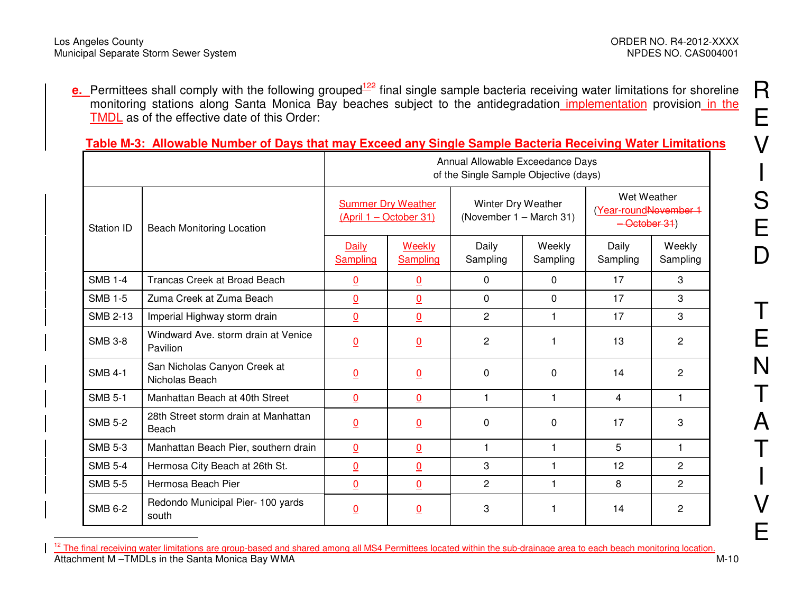**e.** Permittees shall comply with the following grouped<sup>122</sup> final single sample bacteria receiving water limitations for shoreline monitoring stations along Santa Monica Bay beaches subject to the antidegradation implementation provision in the TMDL as of the effective date of this Order:

### **Table M-3: Allowable Number of Days that may Exceed any Single Sample Bacteria Receiving Water Limitations**

|                   |                                                 | Annual Allowable Exceedance Days<br>of the Single Sample Objective (days) |                                                     |                   |                                               |                   |                                                      |  |
|-------------------|-------------------------------------------------|---------------------------------------------------------------------------|-----------------------------------------------------|-------------------|-----------------------------------------------|-------------------|------------------------------------------------------|--|
| <b>Station ID</b> | <b>Beach Monitoring Location</b>                |                                                                           | <b>Summer Dry Weather</b><br>(April 1 – October 31) |                   | Winter Dry Weather<br>(November 1 - March 31) |                   | Wet Weather<br>(Year-roundNovember 1<br>-October 31) |  |
|                   |                                                 | Daily<br>Sampling                                                         | Weekly<br>Sampling                                  | Daily<br>Sampling | Weekly<br>Sampling                            | Daily<br>Sampling | Weekly<br>Sampling                                   |  |
| <b>SMB 1-4</b>    | Trancas Creek at Broad Beach                    | <u>0</u>                                                                  | $\overline{0}$                                      | $\Omega$          | $\mathbf{0}$                                  | 17                | 3                                                    |  |
| <b>SMB 1-5</b>    | Zuma Creek at Zuma Beach                        | $\overline{0}$                                                            | $\overline{0}$                                      | $\Omega$          | $\Omega$                                      | 17                | 3                                                    |  |
| <b>SMB 2-13</b>   | Imperial Highway storm drain                    | $\overline{0}$                                                            | $\overline{0}$                                      | $\overline{2}$    | 1                                             | 17                | 3                                                    |  |
| <b>SMB 3-8</b>    | Windward Ave. storm drain at Venice<br>Pavilion | <u>0</u>                                                                  | $\overline{0}$                                      | $\overline{c}$    | 1                                             | 13                | $\overline{c}$                                       |  |
| <b>SMB 4-1</b>    | San Nicholas Canyon Creek at<br>Nicholas Beach  | <u>0</u>                                                                  | $\overline{0}$                                      | 0                 | 0                                             | 14                | $\overline{c}$                                       |  |
| <b>SMB 5-1</b>    | Manhattan Beach at 40th Street                  | $\overline{0}$                                                            | $\overline{0}$                                      | $\mathbf{1}$      | 1                                             | 4                 | 1                                                    |  |
| <b>SMB 5-2</b>    | 28th Street storm drain at Manhattan<br>Beach   | <u>0</u>                                                                  | $\overline{0}$                                      | 0                 | 0                                             | 17                | 3                                                    |  |
| <b>SMB 5-3</b>    | Manhattan Beach Pier, southern drain            | $\overline{0}$                                                            | $\overline{0}$                                      | $\mathbf{1}$      | $\mathbf{1}$                                  | 5                 | $\mathbf 1$                                          |  |
| <b>SMB 5-4</b>    | Hermosa City Beach at 26th St.                  | $\overline{0}$                                                            | $\overline{0}$                                      | 3                 | 1                                             | 12                | $\overline{2}$                                       |  |
| <b>SMB 5-5</b>    | Hermosa Beach Pier                              | $\overline{0}$                                                            | $\overline{0}$                                      | $\overline{2}$    | 1                                             | 8                 | $\overline{2}$                                       |  |
| <b>SMB 6-2</b>    | Redondo Municipal Pier- 100 yards<br>south      | $\overline{0}$                                                            | $\overline{0}$                                      | 3                 |                                               | 14                | 2                                                    |  |

Attachment M-TMDLs in the Santa Monica Bay WMA M-10 M-10 <sup>12</sup> The final receiving water limitations are group-based and shared among all MS4 Permittees located within the sub-drainage area to each beach monitoring location.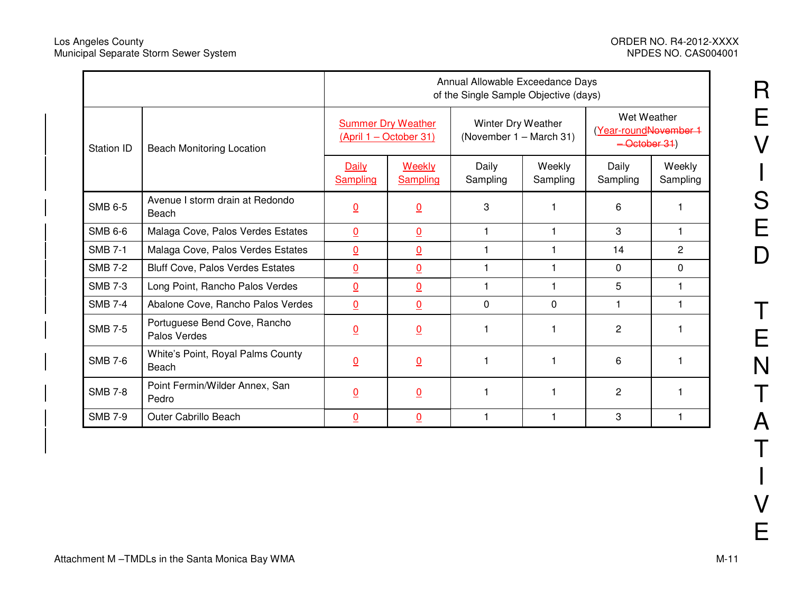|                   |                                              | Annual Allowable Exceedance Days<br>of the Single Sample Objective (days) |                                                     |                   |                                               |                   |                                                      |  |
|-------------------|----------------------------------------------|---------------------------------------------------------------------------|-----------------------------------------------------|-------------------|-----------------------------------------------|-------------------|------------------------------------------------------|--|
| <b>Station ID</b> | <b>Beach Monitoring Location</b>             |                                                                           | <b>Summer Dry Weather</b><br>(April 1 - October 31) |                   | Winter Dry Weather<br>(November 1 - March 31) |                   | Wet Weather<br>(Year-roundNovember 1<br>-October 31) |  |
|                   |                                              | Daily<br><b>Sampling</b>                                                  | Weekly<br>Sampling                                  | Daily<br>Sampling | Weekly<br>Sampling                            | Daily<br>Sampling | Weekly<br>Sampling                                   |  |
| <b>SMB 6-5</b>    | Avenue I storm drain at Redondo<br>Beach     | <u>0</u>                                                                  | $\overline{0}$                                      | 3                 |                                               | 6                 |                                                      |  |
| <b>SMB 6-6</b>    | Malaga Cove, Palos Verdes Estates            | $\underline{0}$                                                           | $\underline{0}$                                     |                   |                                               | 3                 |                                                      |  |
| <b>SMB 7-1</b>    | Malaga Cove, Palos Verdes Estates            | $\overline{0}$                                                            | $\overline{0}$                                      |                   |                                               | 14                | $\overline{c}$                                       |  |
| <b>SMB 7-2</b>    | <b>Bluff Cove, Palos Verdes Estates</b>      | $\underline{0}$                                                           | $\overline{0}$                                      | $\mathbf 1$       |                                               | 0                 | 0                                                    |  |
| <b>SMB 7-3</b>    | Long Point, Rancho Palos Verdes              | $\underline{0}$                                                           | $\underline{0}$                                     | $\overline{1}$    |                                               | 5                 |                                                      |  |
| <b>SMB 7-4</b>    | Abalone Cove, Rancho Palos Verdes            | $\underline{0}$                                                           | $\underline{0}$                                     | $\Omega$          | $\Omega$                                      | 1                 | 1                                                    |  |
| <b>SMB 7-5</b>    | Portuguese Bend Cove, Rancho<br>Palos Verdes | $\underline{0}$                                                           | $\overline{0}$                                      |                   |                                               | 2                 |                                                      |  |
| <b>SMB 7-6</b>    | White's Point, Royal Palms County<br>Beach   | $\overline{0}$                                                            | $\overline{0}$                                      |                   |                                               | 6                 |                                                      |  |
| <b>SMB 7-8</b>    | Point Fermin/Wilder Annex, San<br>Pedro      | $\underline{0}$                                                           | $\overline{0}$                                      |                   |                                               | 2                 |                                                      |  |
| <b>SMB 7-9</b>    | <b>Outer Cabrillo Beach</b>                  | $\overline{0}$                                                            | $\overline{0}$                                      |                   |                                               | 3                 |                                                      |  |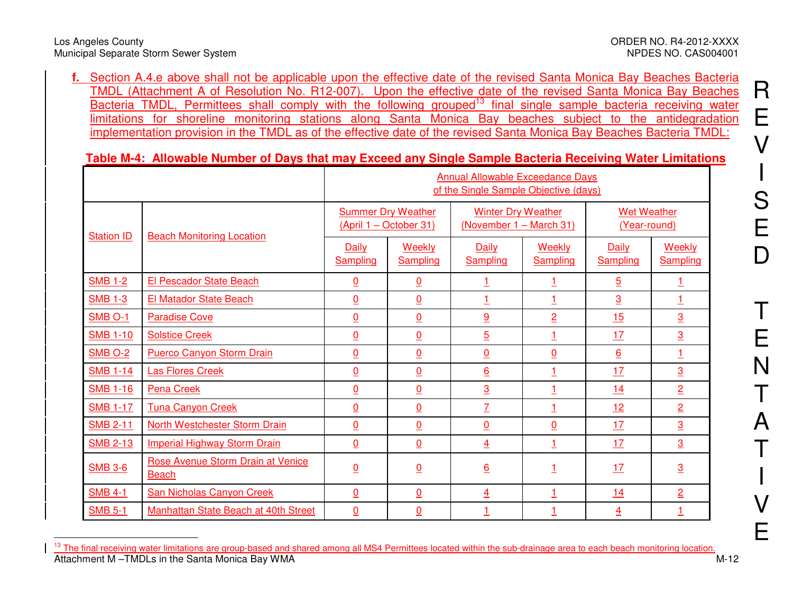**f.** Section A.4.e above shall not be applicable upon the effective date of the revised Santa Monica Bay Beaches Bacteria TMDL (Attachment A of Resolution No. R12-007). Upon the effective date of the revised Santa Monica Bay Beaches Bacteria TMDL, Permittees shall comply with the following grouped<sup>13</sup> final single sample bacteria receiving water limitations for shoreline monitoring stations along Santa Monica Bay beaches subject to the antidegradation implementation provision in the TMDL as of the effective date of the revised Santa Monica Bay Beaches Bacteria TMDL:

## **Table M-4: Allowable Number of Days that may Exceed any Single Sample Bacteria Receiving Water Limitations**

|                   |                                                   | <b>Annual Allowable Exceedance Days</b><br>of the Single Sample Objective (days) |                                                     |                          |                                                      |                          |                                    |  |
|-------------------|---------------------------------------------------|----------------------------------------------------------------------------------|-----------------------------------------------------|--------------------------|------------------------------------------------------|--------------------------|------------------------------------|--|
| <b>Station ID</b> |                                                   |                                                                                  | <b>Summer Dry Weather</b><br>(April 1 - October 31) |                          | <b>Winter Dry Weather</b><br>(November 1 - March 31) |                          | <b>Wet Weather</b><br>(Year-round) |  |
|                   | <b>Beach Monitoring Location</b>                  | Daily<br>Sampling                                                                | Weekly<br><b>Sampling</b>                           | Daily<br><b>Sampling</b> | Weekly<br>Sampling                                   | <b>Daily</b><br>Sampling | <b>Weekly</b><br><b>Sampling</b>   |  |
| <b>SMB 1-2</b>    | <b>El Pescador State Beach</b>                    | $\overline{0}$                                                                   | $\underline{0}$                                     | <u>1</u>                 | <u>1</u>                                             | $\overline{5}$           |                                    |  |
| <b>SMB 1-3</b>    | El Matador State Beach                            | $\underline{0}$                                                                  | $\underline{0}$                                     | 1                        | 1                                                    | $\overline{3}$           |                                    |  |
| SMB O-1           | <b>Paradise Cove</b>                              | $\overline{0}$                                                                   | $\underline{0}$                                     | 9                        | $\overline{2}$                                       | 15                       | $\overline{3}$                     |  |
| <b>SMB 1-10</b>   | <b>Solstice Creek</b>                             | $\overline{0}$                                                                   | $\underline{0}$                                     | $\overline{5}$           | $\overline{1}$                                       | 17                       | $\overline{3}$                     |  |
| <b>SMB O-2</b>    | <b>Puerco Canyon Storm Drain</b>                  | $\underline{0}$                                                                  | $\underline{0}$                                     | $\overline{0}$           | $\underline{0}$                                      | $6 \overline{6}$         |                                    |  |
| <b>SMB 1-14</b>   | <b>Las Flores Creek</b>                           | $\underline{0}$                                                                  | $\underline{0}$                                     | $6 \overline{6}$         | 1                                                    | 17                       | $\overline{3}$                     |  |
| <b>SMB 1-16</b>   | <b>Pena Creek</b>                                 | $\underline{0}$                                                                  | $\underline{0}$                                     | $\overline{3}$           | $\overline{1}$                                       | 14                       | $\overline{2}$                     |  |
| <b>SMB 1-17</b>   | <b>Tuna Canyon Creek</b>                          | $\overline{0}$                                                                   | $\underline{0}$                                     | $\overline{1}$           | 1                                                    | 12                       | $\overline{2}$                     |  |
| <b>SMB 2-11</b>   | North Westchester Storm Drain                     | $\overline{0}$                                                                   | $\overline{0}$                                      | $\overline{0}$           | $\underline{0}$                                      | 17                       | $\overline{3}$                     |  |
| <b>SMB 2-13</b>   | <b>Imperial Highway Storm Drain</b>               | $\overline{0}$                                                                   | $\underline{0}$                                     | $\overline{4}$           | $\overline{1}$                                       | 17                       | $\overline{3}$                     |  |
| <b>SMB 3-6</b>    | Rose Avenue Storm Drain at Venice<br><b>Beach</b> | $\underline{0}$                                                                  | $\overline{0}$                                      | $\underline{6}$          |                                                      | 17                       | $\overline{3}$                     |  |
| <b>SMB 4-1</b>    | <b>San Nicholas Canyon Creek</b>                  | $\underline{0}$                                                                  | $\underline{0}$                                     | $\overline{4}$           | 1                                                    | 14                       | $\overline{2}$                     |  |
| <b>SMB 5-1</b>    | Manhattan State Beach at 40th Street              | $\overline{0}$                                                                   | $\overline{0}$                                      | 1                        | 1                                                    | $\overline{4}$           |                                    |  |

Attachment M-TMDLs in the Santa Monica Bay WMA M-12 <sup>13</sup> The final receiving water limitations are group-based and shared among all MS4 Permittees located within the sub-drainage area to each beach monitoring location.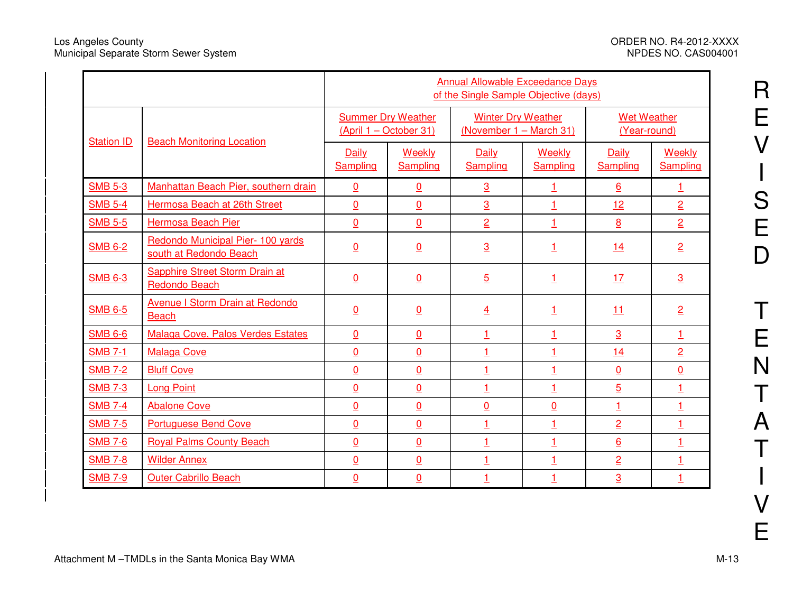з,

|                   |                                                             | <b>Annual Allowable Exceedance Days</b><br>of the Single Sample Objective (days) |                           |                                                      |                    |                                    |                    |
|-------------------|-------------------------------------------------------------|----------------------------------------------------------------------------------|---------------------------|------------------------------------------------------|--------------------|------------------------------------|--------------------|
| <b>Station ID</b> | <b>Beach Monitoring Location</b>                            | <b>Summer Dry Weather</b><br>(April 1 – October 31)                              |                           | <b>Winter Dry Weather</b><br>(November 1 - March 31) |                    | <b>Wet Weather</b><br>(Year-round) |                    |
|                   |                                                             | <b>Daily</b><br><b>Sampling</b>                                                  | <b>Weekly</b><br>Sampling | <b>Daily</b><br><b>Sampling</b>                      | Weekly<br>Sampling | <b>Daily</b><br>Sampling           | Weekly<br>Sampling |
| <b>SMB 5-3</b>    | Manhattan Beach Pier, southern drain                        | $\overline{0}$                                                                   | $\overline{0}$            | $\overline{3}$                                       | $\mathbf{1}$       | $6 \overline{6}$                   | $\mathbf{1}$       |
| <b>SMB 5-4</b>    | Hermosa Beach at 26th Street                                | $\underline{0}$                                                                  | $\overline{0}$            | $\overline{3}$                                       | $\mathbf 1$        | 12                                 | $\overline{2}$     |
| <b>SMB 5-5</b>    | Hermosa Beach Pier                                          | $\underline{0}$                                                                  | $\overline{0}$            | $\overline{2}$                                       | $\overline{1}$     | 8                                  | $\overline{2}$     |
| <b>SMB 6-2</b>    | Redondo Municipal Pier- 100 yards<br>south at Redondo Beach | $\underline{0}$                                                                  | $\underline{0}$           | $\overline{3}$                                       | <u>1</u>           | 14                                 | $\overline{2}$     |
| <b>SMB 6-3</b>    | Sapphire Street Storm Drain at<br>Redondo Beach             | $\overline{0}$                                                                   | $\underline{0}$           | $\overline{5}$                                       | $\overline{1}$     | 17                                 | $\overline{3}$     |
| <b>SMB 6-5</b>    | Avenue I Storm Drain at Redondo<br><b>Beach</b>             | $\overline{0}$                                                                   | $\underline{0}$           | $\overline{4}$                                       | $\mathbf{1}$       | 11                                 | $\overline{2}$     |
| <b>SMB 6-6</b>    | Malaga Cove, Palos Verdes Estates                           | $\overline{0}$                                                                   | $\overline{0}$            | $\overline{1}$                                       | $\overline{1}$     | $\overline{3}$                     | $\overline{1}$     |
| <b>SMB 7-1</b>    | <b>Malaga Cove</b>                                          | $\underline{0}$                                                                  | $\underline{0}$           | $\overline{1}$                                       | 1                  | 14                                 | $\overline{2}$     |
| <b>SMB 7-2</b>    | <b>Bluff Cove</b>                                           | $\underline{0}$                                                                  | $\underline{0}$           | $\overline{1}$                                       | $\overline{1}$     | $\overline{0}$                     | <u>0</u>           |
| <b>SMB 7-3</b>    | Long Point                                                  | $\overline{0}$                                                                   | $\underline{0}$           | $\overline{1}$                                       | $\overline{1}$     | $\overline{5}$                     | 1                  |
| <b>SMB 7-4</b>    | <b>Abalone Cove</b>                                         | $\underline{0}$                                                                  | $\underline{0}$           | $\underline{0}$                                      | $\underline{0}$    | $\overline{1}$                     | $\overline{1}$     |
| <b>SMB 7-5</b>    | <b>Portuguese Bend Cove</b>                                 | $\overline{0}$                                                                   | $\overline{0}$            | $\perp$                                              | $\overline{1}$     | $\overline{2}$                     | 1                  |
| <b>SMB 7-6</b>    | <b>Royal Palms County Beach</b>                             | $\overline{0}$                                                                   | $\overline{0}$            | $\mathbf{1}$                                         | $\overline{1}$     | $6 \overline{6}$                   | $\overline{1}$     |
| <b>SMB 7-8</b>    | <b>Wilder Annex</b>                                         | $\underline{0}$                                                                  | $\overline{0}$            | $\mathbf{1}$                                         | $\overline{1}$     | $\overline{2}$                     | 1                  |
| <b>SMB 7-9</b>    | <b>Outer Cabrillo Beach</b>                                 | $\overline{0}$                                                                   | $\overline{0}$            | $\mathbf{1}$                                         | $\overline{1}$     | $\overline{3}$                     | $\mathbf{1}$       |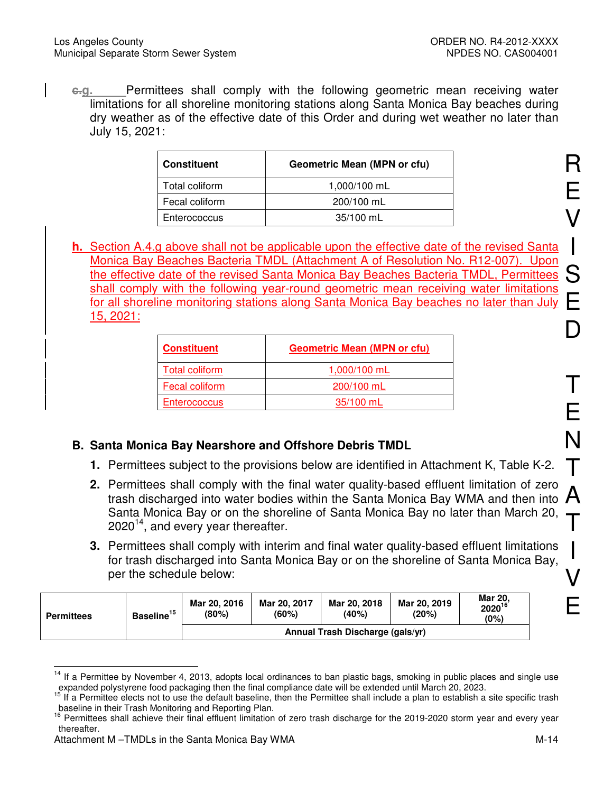**c.g.** Permittees shall comply with the following geometric mean receiving water limitations for all shoreline monitoring stations along Santa Monica Bay beaches during dry weather as of the effective date of this Order and during wet weather no later than July 15, 2021:

| <b>Constituent</b> | Geometric Mean (MPN or cfu) |
|--------------------|-----------------------------|
| Total coliform     | 1,000/100 mL                |
| Fecal coliform     | 200/100 mL                  |
| Enterococcus       | 35/100 mL                   |

**h.** Section A.4.g above shall not be applicable upon the effective date of the revised Santa Monica Bay Beaches Bacteria TMDL (Attachment A of Resolution No. R12-007). Upon the effective date of the revised Santa Monica Bay Beaches Bacteria TMDL, Permittees shall comply with the following year-round geometric mean receiving water limitations for all shoreline monitoring stations along Santa Monica Bay beaches no later than July 15, 2021:

| <b>Constituent</b>  | <b>Geometric Mean (MPN or cfu)</b> |
|---------------------|------------------------------------|
| Total coliform      | 1,000/100 mL                       |
| Fecal coliform      | 200/100 mL                         |
| <b>Enterococcus</b> | 35/100 mL                          |

# **B. Santa Monica Bay Nearshore and Offshore Debris TMDL**

- **1.** Permittees subject to the provisions below are identified in Attachment K, Table K-2.
- Termities shall comply with the final water quality-based emberit immation of zero  $\mathsf A$ **2.** Permittees shall comply with the final water quality-based effluent limitation of zero Santa Monica Bay or on the shoreline of Santa Monica Bay no later than March 20,  $2020^{14}$ , and every year thereafter.
- **3.** Permittees shall comply with interim and final water quality-based effluent limitations for trash discharged into Santa Monica Bay or on the shoreline of Santa Monica Bay, per the schedule below:

| <b>Permittees</b> | Baseline <sup>15</sup> | Mar 20, 2016<br>(80%) | Mar 20, 2017<br>(60%) | Mar 20, 2018<br>(40%)            | Mar 20, 2019<br>(20%) | <b>Mar 20.</b><br>$2020^{16}$<br>(0%) |
|-------------------|------------------------|-----------------------|-----------------------|----------------------------------|-----------------------|---------------------------------------|
|                   |                        |                       |                       | Annual Trash Discharge (gals/yr) |                       |                                       |

 $\overline{\phantom{a}}$ <sup>14</sup> If a Permittee by November 4, 2013, adopts local ordinances to ban plastic bags, smoking in public places and single use expanded polystyrene food packaging then the final compliance date will be extended until March 20, 2023.

<sup>15</sup> If a Permittee elects not to use the default baseline, then the Permittee shall include a plan to establish a site specific trash baseline in their Trash Monitoring and Reporting Plan.

<sup>&</sup>lt;sup>16</sup> Permittees shall achieve their final effluent limitation of zero trash discharge for the 2019-2020 storm year and every year thereafter.

Attachment M –TMDLs in the Santa Monica Bay WMA M-14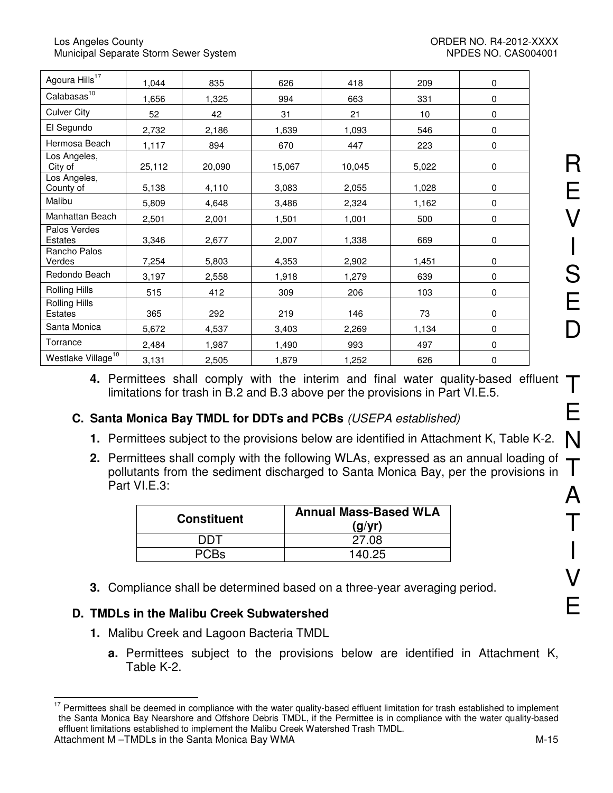| Agoura Hills <sup>17</sup>     | 1,044  | 835    | 626    | 418    | 209   | 0 |
|--------------------------------|--------|--------|--------|--------|-------|---|
| Calabasas <sup>10</sup>        | 1,656  | 1,325  | 994    | 663    | 331   | 0 |
| <b>Culver City</b>             | 52     | 42     | 31     | 21     | 10    | 0 |
| El Segundo                     | 2,732  | 2,186  | 1,639  | 1,093  | 546   | 0 |
| Hermosa Beach                  | 1,117  | 894    | 670    | 447    | 223   | 0 |
| Los Angeles,<br>City of        | 25,112 | 20,090 | 15,067 | 10,045 | 5,022 | 0 |
| Los Angeles,<br>County of      | 5,138  | 4,110  | 3,083  | 2,055  | 1,028 | 0 |
| Malibu                         | 5,809  | 4,648  | 3,486  | 2,324  | 1,162 | 0 |
| Manhattan Beach                | 2,501  | 2,001  | 1,501  | 1,001  | 500   | 0 |
| Palos Verdes<br>Estates        | 3,346  | 2,677  | 2,007  | 1,338  | 669   | 0 |
| Rancho Palos<br>Verdes         | 7,254  | 5,803  | 4,353  | 2,902  | 1,451 | 0 |
| Redondo Beach                  | 3,197  | 2,558  | 1,918  | 1,279  | 639   | 0 |
| Rolling Hills                  | 515    | 412    | 309    | 206    | 103   | 0 |
| Rolling Hills<br>Estates       | 365    | 292    | 219    | 146    | 73    | 0 |
| Santa Monica                   | 5,672  | 4,537  | 3,403  | 2,269  | 1,134 | 0 |
| Torrance                       | 2,484  | 1,987  | 1,490  | 993    | 497   | 0 |
| Westlake Village <sup>10</sup> | 3,131  | 2,505  | 1,879  | 1,252  | 626   | 0 |

**4.** Permittees shall comply with the interim and final water quality-based effluent limitations for trash in B.2 and B.3 above per the provisions in Part VI.E.5.

# **C. Santa Monica Bay TMDL for DDTs and PCBs** (USEPA established)

- **1.** Permittees subject to the provisions below are identified in Attachment K, Table K-2.
- **2.** Permittees shall comply with the following WLAs, expressed as an annual loading of pollutants from the sediment discharged to Santa Monica Bay, per the provisions in Part VI.E.3:

| <b>Constituent</b> | <b>Annual Mass-Based WLA</b><br>(q/yr) |
|--------------------|----------------------------------------|
| דחח                | 27.08                                  |
| <b>PCBs</b>        | 140.25                                 |

**3.** Compliance shall be determined based on a three-year averaging period.

# **D. TMDLs in the Malibu Creek Subwatershed**

- **1.** Malibu Creek and Lagoon Bacteria TMDL
	- **a.** Permittees subject to the provisions below are identified in Attachment K, Table K-2.

 $17$ Permittees shall be deemed in compliance with the water quality-based effluent limitation for trash established to implement the Santa Monica Bay Nearshore and Offshore Debris TMDL, if the Permittee is in compliance with the water quality-based effluent limitations established to implement the Malibu Creek Watershed Trash TMDL.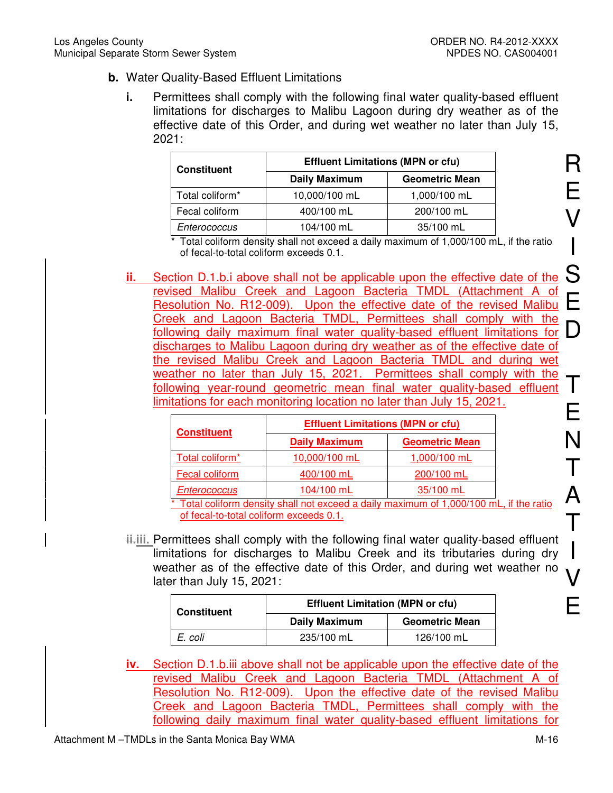- **b.** Water Quality-Based Effluent Limitations
	- **i.** Permittees shall comply with the following final water quality-based effluent limitations for discharges to Malibu Lagoon during dry weather as of the effective date of this Order, and during wet weather no later than July 15, 2021:

| <b>Constituent</b> | <b>Effluent Limitations (MPN or cfu)</b> |                       |
|--------------------|------------------------------------------|-----------------------|
|                    | <b>Daily Maximum</b>                     | <b>Geometric Mean</b> |
| Total coliform*    | 10,000/100 mL                            | 1,000/100 mL          |
| Fecal coliform     | 400/100 mL                               | 200/100 mL            |
| Enterococcus       | 104/100 mL                               | 35/100 mL             |

\* Total coliform density shall not exceed a daily maximum of 1,000/100 mL, if the ratio of fecal-to-total coliform exceeds 0.1.

Resolution No. R12-009). Upon the effective date of the revised Malibu Greek and Eagoon Bacteria TMDE, Ferrifices shall comply with the<br>following daily maximum final water quality-based effluent limitations for D **ii.** Section D.1.b.i above shall not be applicable upon the effective date of the revised Malibu Creek and Lagoon Bacteria TMDL (Attachment A of Creek and Lagoon Bacteria TMDL, Permittees shall comply with the discharges to Malibu Lagoon during dry weather as of the effective date of the revised Malibu Creek and Lagoon Bacteria TMDL and during wet weather no later than July 15, 2021. Permittees shall comply with the following year-round geometric mean final water quality-based effluent limitations for each monitoring location no later than July 15, 2021.

| <b>Constituent</b> | <b>Effluent Limitations (MPN or cfu)</b> |                       |  |
|--------------------|------------------------------------------|-----------------------|--|
|                    | <b>Daily Maximum</b>                     | <b>Geometric Mean</b> |  |
| Total coliform*    | 10,000/100 mL                            | 1,000/100 mL          |  |
| Fecal coliform     | 400/100 mL                               | 200/100 mL            |  |
| Enterococcus       | 104/100 mL                               | 35/100 mL             |  |

\* Total coliform density shall not exceed a daily maximum of 1,000/100 mL, if the ratio of fecal-to-total coliform exceeds 0.1.

**ii.iii.** Permittees shall comply with the following final water quality-based effluent limitations for discharges to Malibu Creek and its tributaries during dry weather as of the effective date of this Order, and during wet weather no later than July 15, 2021:

| <b>Constituent</b> |                      | <b>Effluent Limitation (MPN or cfu)</b> |  |  |
|--------------------|----------------------|-----------------------------------------|--|--|
|                    | <b>Daily Maximum</b> | <b>Geometric Mean</b>                   |  |  |
| E. coli            | 235/100 mL           | 126/100 mL                              |  |  |

**iv.** Section D.1.b.iii above shall not be applicable upon the effective date of the revised Malibu Creek and Lagoon Bacteria TMDL (Attachment A of Resolution No. R12-009). Upon the effective date of the revised Malibu Creek and Lagoon Bacteria TMDL, Permittees shall comply with the following daily maximum final water quality-based effluent limitations for

R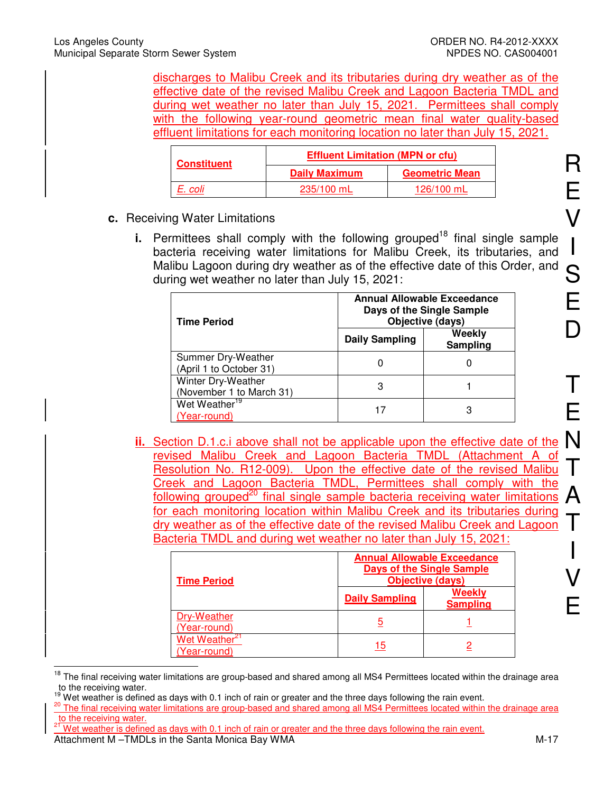discharges to Malibu Creek and its tributaries during dry weather as of the effective date of the revised Malibu Creek and Lagoon Bacteria TMDL and during wet weather no later than July 15, 2021. Permittees shall comply with the following year-round geometric mean final water quality-based effluent limitations for each monitoring location no later than July 15, 2021.

| <b>Constituent</b> | <b>Effluent Limitation (MPN or cfu)</b> |                       |  |
|--------------------|-----------------------------------------|-----------------------|--|
|                    | <b>Daily Maximum</b>                    | <b>Geometric Mean</b> |  |
| E. coli            | 235/100 mL                              | 126/100 mL            |  |

- **c.** Receiving Water Limitations
	- **i.** Permittees shall comply with the following grouped<sup>18</sup> final single sample bacteria receiving water limitations for Malibu Creek, its tributaries, and Malibu Lagoon during dry weather as of the effective date of this Order, and during wet weather no later than July 15, 2021:

| <b>Time Period</b>                             | <b>Annual Allowable Exceedance</b><br>Days of the Single Sample<br>Objective (days) |                    |  |
|------------------------------------------------|-------------------------------------------------------------------------------------|--------------------|--|
|                                                | <b>Daily Sampling</b>                                                               | Weekly<br>Sampling |  |
| Summer Dry-Weather<br>(April 1 to October 31)  |                                                                                     |                    |  |
| Winter Dry-Weather<br>(November 1 to March 31) | 3                                                                                   |                    |  |
| Wet Weather <sup>19</sup><br>(Year-round)      |                                                                                     | 3                  |  |

**ii.** Section D.1.c.i above shall not be applicable upon the effective date of the N<br>experience Malibus Oreals and Langers Pectaria TMPL (Attackment Apple) revised Malibu Creek and Lagoon Bacteria TMDL (Attachment A of Resolution No. R12-009). Upon the effective date of the revised Malibu Creek and Lagoon Bacteria TMDL, Permittees shall comply with the following grouped<sup>20</sup> final single sample bacteria receiving water limitations for each monitoring location within Malibu Creek and its tributaries during dry weather as of the effective date of the revised Malibu Creek and Lagoon Bacteria TMDL and during wet weather no later than July 15, 2021:

| <b>Time Period</b>                      | <b>Annual Allowable Exceedance</b><br><b>Days of the Single Sample</b><br>Objective (days) |                           |  |
|-----------------------------------------|--------------------------------------------------------------------------------------------|---------------------------|--|
|                                         | <b>Daily Sampling</b>                                                                      | Weekly<br><b>Sampling</b> |  |
| Dry-Weather<br>(Year-round)             | 5                                                                                          |                           |  |
| Wet Weather <sup>2</sup><br>Year-round) | 15                                                                                         |                           |  |

 $\overline{\phantom{a}}$ <sup>18</sup> The final receiving water limitations are group-based and shared among all MS4 Permittees located within the drainage area to the receiving water.

Attachment M –TMDLs in the Santa Monica Bay WMA M-17 Wet weather is defined as days with 0.1 inch of rain or greater and the three days following the rain event.

I

Wet weather is defined as days with 0.1 inch of rain or greater and the three days following the rain event.

<sup>&</sup>lt;sup>20</sup> The final receiving water limitations are group-based and shared among all MS4 Permittees located within the drainage area to the receiving water.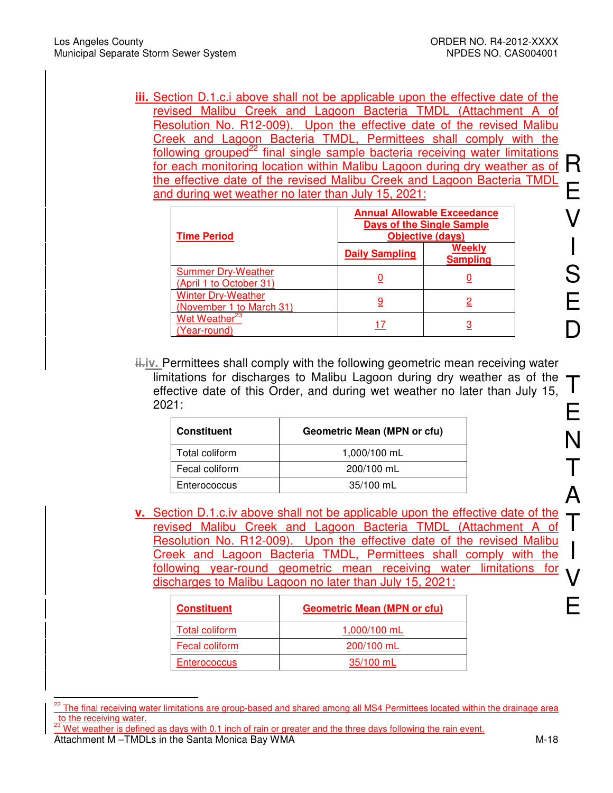**iii.** Section D.1.c.i above shall not be applicable upon the effective date of the revised Malibu Creek and Lagoon Bacteria TMDL (Attachment A of Resolution No. R12-009). Upon the effective date of the revised Malibu Creek and Lagoon Bacteria TMDL, Permittees shall comply with the following grouped<sup>22</sup> final single sample bacteria receiving water limitations for each monitoring location within Malibu Lagoon during dry weather as of the effective date of the revised Malibu Creek and Lagoon Bacteria TMDL and during wet weather no later than July 15, 2021:

| <b>Time Period</b>                                    | <b>Annual Allowable Exceedance</b><br><b>Days of the Single Sample</b><br><b>Objective (days)</b> |                                  |  |
|-------------------------------------------------------|---------------------------------------------------------------------------------------------------|----------------------------------|--|
|                                                       | <b>Daily Sampling</b>                                                                             | <b>Weekly</b><br><b>Sampling</b> |  |
| <b>Summer Dry-Weather</b><br>(April 1 to October 31)  |                                                                                                   |                                  |  |
| <b>Winter Dry-Weather</b><br>(November 1 to March 31) |                                                                                                   |                                  |  |
| Wet Weather <sup>23</sup><br>(Year-round)             |                                                                                                   |                                  |  |

**ii.** iv. Permittees shall comply with the following geometric mean receiving water limitations for discharges to Malibu Lagoon during dry weather as of the effective date of this Order, and during wet weather no later than July 15, 2021:

| <b>Constituent</b> | <b>Geometric Mean (MPN or cfu)</b> |  |  |
|--------------------|------------------------------------|--|--|
| Total coliform     | 1,000/100 mL                       |  |  |
| Fecal coliform     | 200/100 mL                         |  |  |
| Enterococcus       | $35/100$ mL                        |  |  |

**v.** Section D.1.c.iv above shall not be applicable upon the effective date of the revised Malibu Creek and Lagoon Bacteria TMDL (Attachment A of Resolution No. R12-009). Upon the effective date of the revised Malibu Creek and Lagoon Bacteria TMDL, Permittees shall comply with the following year-round geometric mean receiving water limitations for discharges to Malibu Lagoon no later than July 15, 2021:

| <b>Constituent</b>  | <b>Geometric Mean (MPN or cfu)</b> |  |
|---------------------|------------------------------------|--|
| Total coliform      | 1,000/100 mL                       |  |
| Fecal coliform      | 200/100 mL                         |  |
| <b>Enterococcus</b> | 35/100 mL                          |  |

j <sup>22</sup> The final receiving water limitations are group-based and shared among all MS4 Permittees located within the drainage area to the receiving water.

Attachment M –TMDLs in the Santa Monica Bay WMA  $\blacksquare$ Wet weather is defined as days with 0.1 inch of rain or greater and the three days following the rain event.

T

E

N

T

A

T

I

V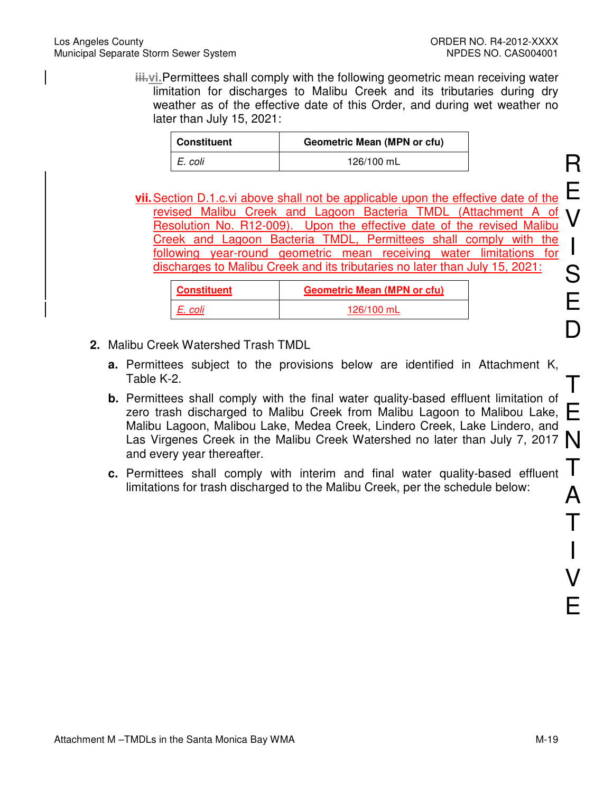**iii.vi. Permittees shall comply with the following geometric mean receiving water** limitation for discharges to Malibu Creek and its tributaries during dry weather as of the effective date of this Order, and during wet weather no later than July 15, 2021:

| Constituent | <b>Geometric Mean (MPN or cfu)</b> |
|-------------|------------------------------------|
| I E. coli   | 126/100 mL                         |

**vii.** Section D.1.c.vi above shall not be applicable upon the effective date of the revised Malibu Creek and Lagoon Bacteria TMDL (Attachment A of Resolution No. R12-009). Upon the effective date of the revised Malibu Creek and Lagoon Bacteria TMDL, Permittees shall comply with the following year-round geometric mean receiving water limitations for discharges to Malibu Creek and its tributaries no later than July 15, 2021:

| <b>Constituent</b> | <b>Geometric Mean (MPN or cfu)</b> |
|--------------------|------------------------------------|
| E. coli            | 126/100 mL                         |

- **2.** Malibu Creek Watershed Trash TMDL
	- **a.** Permittees subject to the provisions below are identified in Attachment K, Table K-2.
	- zero trash discharged to Malibu Creek from Malibu Lagoon to Malibou Lake,  $\Box$ <br>Malibu Lagoon, Malibou Lake, Modes Creek, Lindore Creek, Lake, Lindore, and **b.** Permittees shall comply with the final water quality-based effluent limitation of Malibu Lagoon, Malibou Lake, Medea Creek, Lindero Creek, Lake Lindero, and Las Virgenes Creek in the Malibu Creek Watershed no later than July 7, 2017 and every year thereafter.
	- **c.** Permittees shall comply with interim and final water quality-based effluent limitations for trash discharged to the Malibu Creek, per the schedule below:

R

E

V

I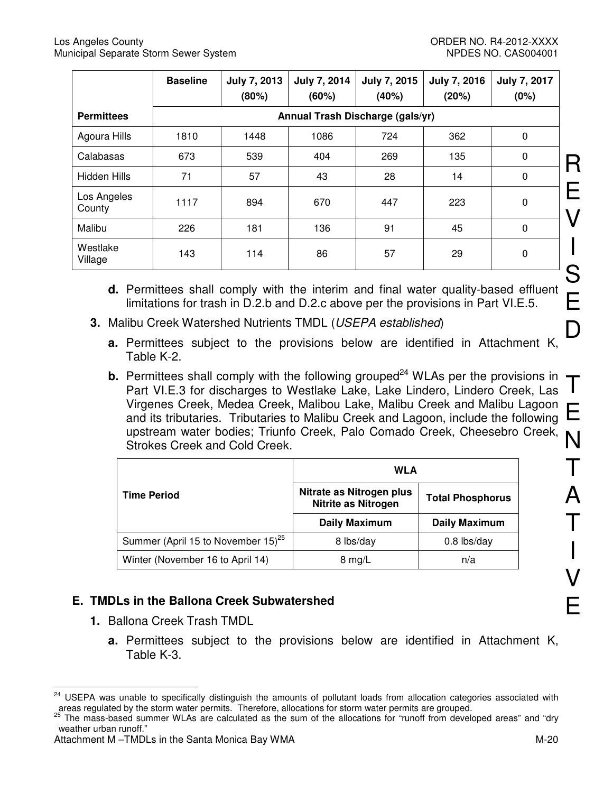|                       | <b>Baseline</b> | <b>July 7, 2013</b><br>(80%) | July 7, 2014<br>(60%) | July 7, 2015<br>(40%)            | <b>July 7, 2016</b><br>(20%) | <b>July 7, 2017</b><br>(0%) |  |
|-----------------------|-----------------|------------------------------|-----------------------|----------------------------------|------------------------------|-----------------------------|--|
| <b>Permittees</b>     |                 |                              |                       | Annual Trash Discharge (gals/yr) |                              |                             |  |
| Agoura Hills          | 1810            | 1448                         | 1086                  | 724                              | 362                          | 0                           |  |
| Calabasas             | 673             | 539                          | 404                   | 269                              | 135                          | $\mathbf 0$                 |  |
| Hidden Hills          | 71              | 57                           | 43                    | 28                               | 14                           | $\mathbf 0$                 |  |
| Los Angeles<br>County | 1117            | 894                          | 670                   | 447                              | 223                          | 0                           |  |
| Malibu                | 226             | 181                          | 136                   | 91                               | 45                           | 0                           |  |
| Westlake<br>Village   | 143             | 114                          | 86                    | 57                               | 29                           | 0                           |  |

- **d.** Permittees shall comply with the interim and final water quality-based effluent limitations for trash in D.2.b and D.2.c above per the provisions in Part VI.E.5.
- **3.** Malibu Creek Watershed Nutrients TMDL (USEPA established)
	- **a.** Permittees subject to the provisions below are identified in Attachment K, Table K-2.
	- **b.** Permittees shall comply with the following grouped<sup>24</sup> WLAs per the provisions in Part VI.E.3 for discharges to Westlake Lake, Lake Lindero, Lindero Creek, Las Virgenes Creek, Medea Creek, Malibou Lake, Malibu Creek and Malibu Lagoon and its tributaries. Tributaries to Malibu Creek and Lagoon, include the following upstream water bodies; Triunfo Creek, Palo Comado Creek, Cheesebro Creek, Strokes Creek and Cold Creek.

|                                                | <b>WLA</b>                                      |                         |  |
|------------------------------------------------|-------------------------------------------------|-------------------------|--|
| <b>Time Period</b>                             | Nitrate as Nitrogen plus<br>Nitrite as Nitrogen | <b>Total Phosphorus</b> |  |
|                                                | <b>Daily Maximum</b>                            | <b>Daily Maximum</b>    |  |
| Summer (April 15 to November 15) <sup>25</sup> | 8 lbs/day                                       | $0.8$ lbs/day           |  |
| Winter (November 16 to April 14)               | $8 \text{ mg/L}$                                | n/a                     |  |

# **E. TMDLs in the Ballona Creek Subwatershed**

- **1.** Ballona Creek Trash TMDL
	- **a.** Permittees subject to the provisions below are identified in Attachment K, Table K-3.

 $\overline{a}$ <sup>24</sup> USEPA was unable to specifically distinguish the amounts of pollutant loads from allocation categories associated with areas regulated by the storm water permits. Therefore, allocations for storm water permits are grouped.

<sup>25</sup> The mass-based summer WLAs are calculated as the sum of the allocations for "runoff from developed areas" and "dry weather urban runoff."

Attachment M –TMDLs in the Santa Monica Bay WMA M-20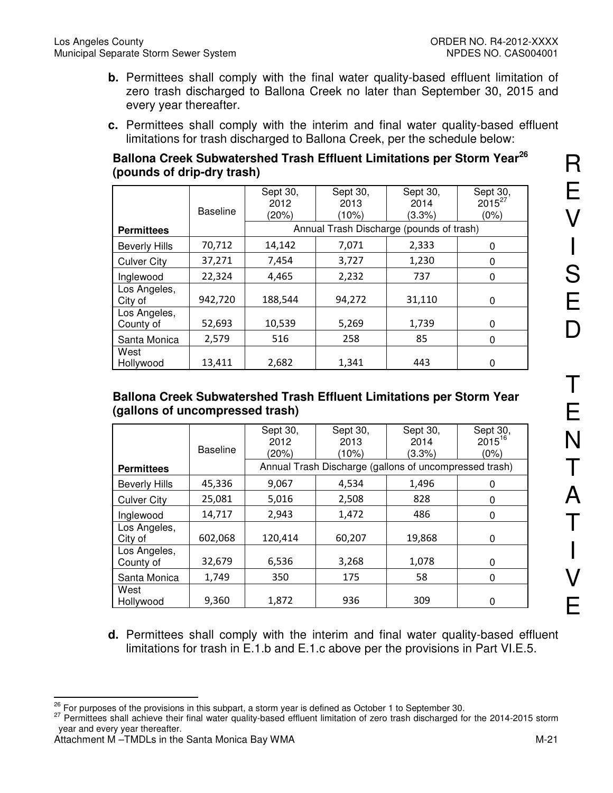- **b.** Permittees shall comply with the final water quality-based effluent limitation of zero trash discharged to Ballona Creek no later than September 30, 2015 and every year thereafter.
- **c.** Permittees shall comply with the interim and final water quality-based effluent limitations for trash discharged to Ballona Creek, per the schedule below:

## **Ballona Creek Subwatershed Trash Effluent Limitations per Storm Year<sup>26</sup> (pounds of drip-dry trash)**

|                           |                 | Sept 30, | Sept 30,                                 | Sept 30, | Sept 30,    |
|---------------------------|-----------------|----------|------------------------------------------|----------|-------------|
|                           |                 | 2012     | 2013                                     | 2014     | $2015^{27}$ |
|                           | <b>Baseline</b> | (20%)    | (10%)                                    | (3.3%)   | (0%)        |
| <b>Permittees</b>         |                 |          | Annual Trash Discharge (pounds of trash) |          |             |
| <b>Beverly Hills</b>      | 70,712          | 14,142   | 7,071                                    | 2,333    | 0           |
| <b>Culver City</b>        | 37,271          | 7,454    | 3,727                                    | 1,230    | 0           |
| Inglewood                 | 22,324          | 4,465    | 2,232                                    | 737      | 0           |
| Los Angeles,<br>City of   | 942,720         | 188,544  | 94,272                                   | 31,110   | 0           |
| Los Angeles,<br>County of | 52,693          | 10,539   | 5,269                                    | 1,739    | 0           |
| Santa Monica              | 2,579           | 516      | 258                                      | 85       | 0           |
| West<br>Hollywood         | 13,411          | 2,682    | 1,341                                    | 443      | 0           |

### **Ballona Creek Subwatershed Trash Effluent Limitations per Storm Year (gallons of uncompressed trash)**

|                           | <b>Baseline</b> | Sept 30,<br>2012<br>(20%) | Sept 30,<br>2013<br>(10%)                              | Sept 30,<br>2014<br>(3.3%) | Sept 30,<br>$2015^{16}$<br>(0%) |
|---------------------------|-----------------|---------------------------|--------------------------------------------------------|----------------------------|---------------------------------|
| <b>Permittees</b>         |                 |                           | Annual Trash Discharge (gallons of uncompressed trash) |                            |                                 |
| <b>Beverly Hills</b>      | 45,336          | 9,067                     | 4,534                                                  | 1,496                      | 0                               |
| <b>Culver City</b>        | 25,081          | 5,016                     | 2,508                                                  | 828                        | 0                               |
| Inglewood                 | 14,717          | 2,943                     | 1,472                                                  | 486                        | 0                               |
| Los Angeles,<br>City of   | 602,068         | 120,414                   | 60,207                                                 | 19,868                     | 0                               |
| Los Angeles,<br>County of | 32,679          | 6,536                     | 3,268                                                  | 1,078                      | 0                               |
| Santa Monica              | 1,749           | 350                       | 175                                                    | 58                         | 0                               |
| West<br>Hollywood         | 9,360           | 1,872                     | 936                                                    | 309                        | 0                               |

**d.** Permittees shall comply with the interim and final water quality-based effluent limitations for trash in E.1.b and E.1.c above per the provisions in Part VI.E.5.

 $\overline{a}$  $26$  For purposes of the provisions in this subpart, a storm year is defined as October 1 to September 30.

<sup>&</sup>lt;sup>27</sup> Permittees shall achieve their final water quality-based effluent limitation of zero trash discharged for the 2014-2015 storm year and every year thereafter.

Attachment M –TMDLs in the Santa Monica Bay WMA M-21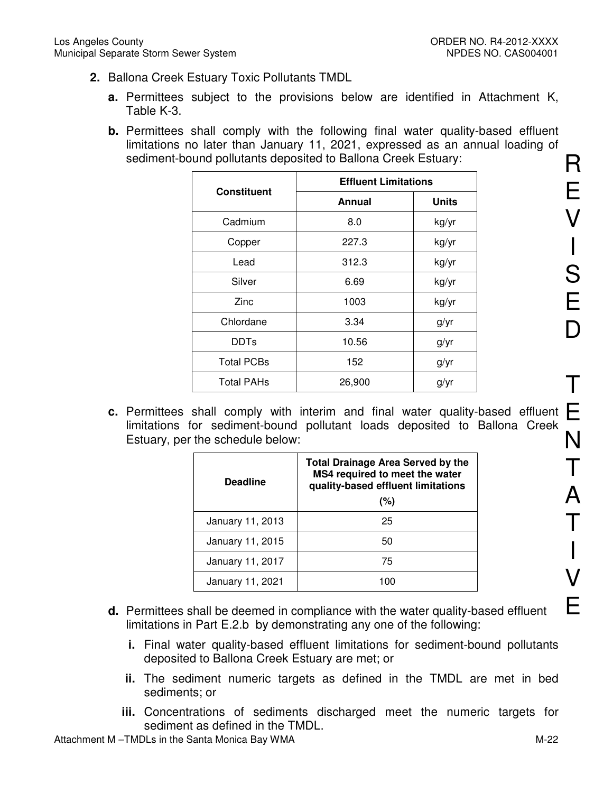- **2.** Ballona Creek Estuary Toxic Pollutants TMDL
	- **a.** Permittees subject to the provisions below are identified in Attachment K, Table K-3.
	- **b.** Permittees shall comply with the following final water quality-based effluent limitations no later than January 11, 2021, expressed as an annual loading of sediment-bound pollutants deposited to Ballona Creek Estuary:

| <b>Constituent</b> | <b>Effluent Limitations</b> |              |  |
|--------------------|-----------------------------|--------------|--|
|                    | Annual                      | <b>Units</b> |  |
| Cadmium            | 8.0                         | kg/yr        |  |
| Copper             | 227.3                       | kg/yr        |  |
| Lead               | 312.3                       | kg/yr        |  |
| Silver             | 6.69                        | kg/yr        |  |
| Zinc               | 1003                        | kg/yr        |  |
| Chlordane          | 3.34                        | g/yr         |  |
| <b>DDTs</b>        | 10.56                       | g/yr         |  |
| <b>Total PCBs</b>  | 152                         | g/yr         |  |
| <b>Total PAHs</b>  | 26,900                      | g/yr         |  |

**c.** Permittees shall comply with interim and final water quality-based effluent  $\blacksquare$ limitations for sediment-bound pollutant loads deposited to Ballona Creek Estuary, per the schedule below:

| <b>Deadline</b>  | <b>Total Drainage Area Served by the</b><br>MS4 required to meet the water<br>quality-based effluent limitations<br>(%) |
|------------------|-------------------------------------------------------------------------------------------------------------------------|
| January 11, 2013 | 25                                                                                                                      |
| January 11, 2015 | 50                                                                                                                      |
| January 11, 2017 | 75                                                                                                                      |
| January 11, 2021 | 100                                                                                                                     |

- **d.** Permittees shall be deemed in compliance with the water quality-based effluent limitations in Part E.2.b by demonstrating any one of the following:
	- **i.** Final water quality-based effluent limitations for sediment-bound pollutants deposited to Ballona Creek Estuary are met; or
	- **ii.** The sediment numeric targets as defined in the TMDL are met in bed sediments; or
	- **iii.** Concentrations of sediments discharged meet the numeric targets for sediment as defined in the TMDL.

Attachment M –TMDLs in the Santa Monica Bay WMA M-22

R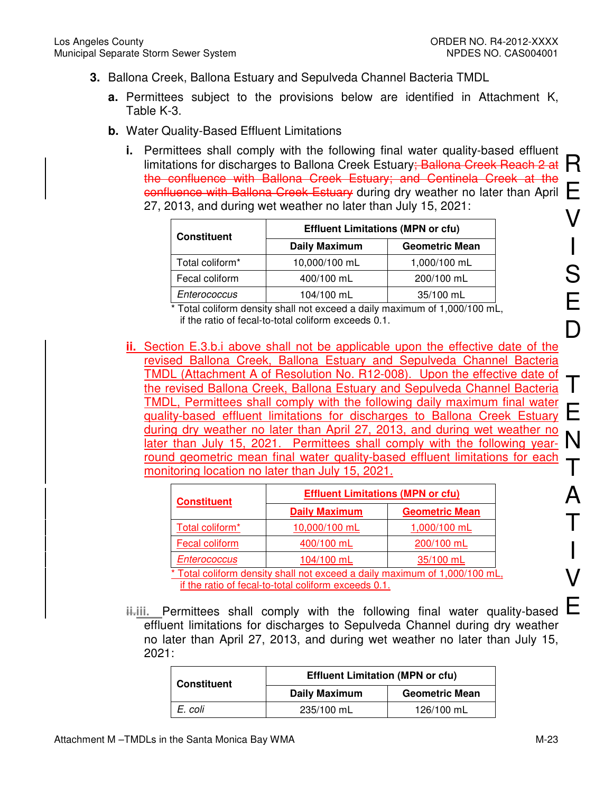- **3.** Ballona Creek, Ballona Estuary and Sepulveda Channel Bacteria TMDL
	- **a.** Permittees subject to the provisions below are identified in Attachment K, Table K-3.
	- **b.** Water Quality-Based Effluent Limitations
		- Formities shall semply with the following linal water quality sassa since the limitations for discharges to Ballona Creek Estuary; Ballona Creek Reach 2 at  $R$  $\frac{1}{2}$  confluence with Ballona Creek Estuary during dry weather no later than April  $\Box$ V **i.** Permittees shall comply with the following final water quality-based effluent the confluence with Ballona Creek Estuary; and Centinela Creek at the 27, 2013, and during wet weather no later than July 15, 2021:

| <b>Constituent</b> | <b>Effluent Limitations (MPN or cfu)</b> |                       |  |
|--------------------|------------------------------------------|-----------------------|--|
|                    | <b>Daily Maximum</b>                     | <b>Geometric Mean</b> |  |
| Total coliform*    | 10,000/100 mL                            | 1,000/100 mL          |  |
| Fecal coliform     | 400/100 mL                               | 200/100 mL            |  |
| Enterococcus       | 104/100 mL                               | 35/100 mL             |  |

\* Total coliform density shall not exceed a daily maximum of 1,000/100 mL, if the ratio of fecal-to-total coliform exceeds 0.1.

TMDL, Permittees shall comply with the following daily maximum mial water<br>quality-based effluent limitations for discharges to Ballona Creek Estuary  $\blacksquare$ **ii.** Section E.3.b.i above shall not be applicable upon the effective date of the revised Ballona Creek, Ballona Estuary and Sepulveda Channel Bacteria TMDL (Attachment A of Resolution No. R12-008). Upon the effective date of the revised Ballona Creek, Ballona Estuary and Sepulveda Channel Bacteria TMDL, Permittees shall comply with the following daily maximum final water during dry weather no later than April 27, 2013, and during wet weather no later than July 15, 2021. Permittees shall comply with the following yearround geometric mean final water quality-based effluent limitations for each monitoring location no later than July 15, 2021.

| <b>Constituent</b>                                                         | <b>Effluent Limitations (MPN or cfu)</b> |                       |  |
|----------------------------------------------------------------------------|------------------------------------------|-----------------------|--|
|                                                                            | <b>Daily Maximum</b>                     | <b>Geometric Mean</b> |  |
| Total coliform*                                                            | 10,000/100 mL                            | 1,000/100 mL          |  |
| Fecal coliform                                                             | 400/100 mL                               | 200/100 mL            |  |
| <b>Enterococcus</b>                                                        | 104/100 mL                               | 35/100 mL             |  |
| * Total coliform density shall not exceed a daily maximum of 1,000/100 mL, |                                          |                       |  |
| if the ratio of fecal-to-total coliform exceeds 0.1.                       |                                          |                       |  |

**ii.**iii. Permittees shall comply with the following final water quality-based effluent limitations for discharges to Sepulveda Channel during dry weather no later than April 27, 2013, and during wet weather no later than July 15, 2021:

| <b>Constituent</b> | <b>Effluent Limitation (MPN or cfu)</b> |                       |  |
|--------------------|-----------------------------------------|-----------------------|--|
|                    | <b>Daily Maximum</b>                    | <b>Geometric Mean</b> |  |
| E. coli            | 235/100 mL                              | 126/100 mL            |  |

I

S

E

D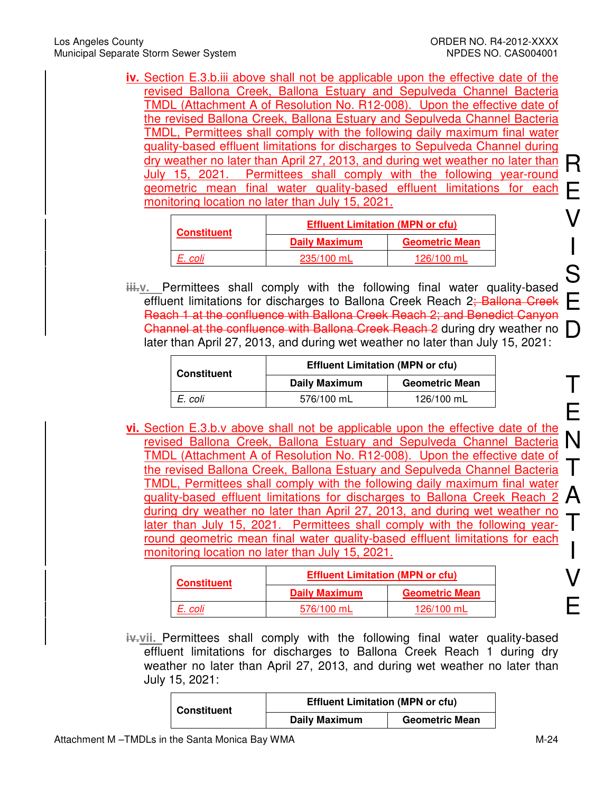**iv.** Section E.3.b.iii above shall not be applicable upon the effective date of the revised Ballona Creek, Ballona Estuary and Sepulveda Channel Bacteria TMDL (Attachment A of Resolution No. R12-008). Upon the effective date of the revised Ballona Creek, Ballona Estuary and Sepulveda Channel Bacteria TMDL, Permittees shall comply with the following daily maximum final water quality-based effluent limitations for discharges to Sepulveda Channel during dry weather no later than April 27, 2013, and during wet weather no later than July 15, 2021. Permittees shall comply with the following year-round geometric mean final water quality-based effluent limitations for each monitoring location no later than July 15, 2021.

| <b>Constituent</b> | <b>Effluent Limitation (MPN or cfu)</b> |                       |  |
|--------------------|-----------------------------------------|-----------------------|--|
|                    | <b>Daily Maximum</b>                    | <b>Geometric Mean</b> |  |
| E. coli            | 235/100 mL                              | 126/100 mL            |  |

Channel at the confluence with Ballona Creek Reach 2 during dry weather no  $\Box$ **iii.v.** Permittees shall comply with the following final water quality-based effluent limitations for discharges to Ballona Creek Reach 2; Ballona Creek Reach 1 at the confluence with Ballona Creek Reach 2; and Benedict Canyon later than April 27, 2013, and during wet weather no later than July 15, 2021:

| <b>Constituent</b> | <b>Effluent Limitation (MPN or cfu)</b> |                       |  |
|--------------------|-----------------------------------------|-----------------------|--|
|                    | <b>Daily Maximum</b>                    | <b>Geometric Mean</b> |  |
| E. coli            | 576/100 mL                              | 126/100 mL            |  |

revised Ballona Creek, Ballona Estuary and Sepulveda Channel Bacteria N **vi.** Section E.3.b.v above shall not be applicable upon the effective date of the TMDL (Attachment A of Resolution No. R12-008). Upon the effective date of the revised Ballona Creek, Ballona Estuary and Sepulveda Channel Bacteria TMDL, Permittees shall comply with the following daily maximum final water quality-based effluent limitations for discharges to Ballona Creek Reach 2 during dry weather no later than April 27, 2013, and during wet weather no later than July 15, 2021. Permittees shall comply with the following yearround geometric mean final water quality-based effluent limitations for each monitoring location no later than July 15, 2021.

| <b>Constituent</b> | <b>Effluent Limitation (MPN or cfu)</b> |                       |
|--------------------|-----------------------------------------|-----------------------|
|                    | <b>Daily Maximum</b>                    | <b>Geometric Mean</b> |
| E. coli            | 576/100 mL                              | 126/100 mL            |

**iv.vii.** Permittees shall comply with the following final water quality-based effluent limitations for discharges to Ballona Creek Reach 1 during dry weather no later than April 27, 2013, and during wet weather no later than July 15, 2021:

| <b>Constituent</b> | <b>Effluent Limitation (MPN or cfu)</b> |                       |  |
|--------------------|-----------------------------------------|-----------------------|--|
|                    | <b>Daily Maximum</b>                    | <b>Geometric Mean</b> |  |

E

R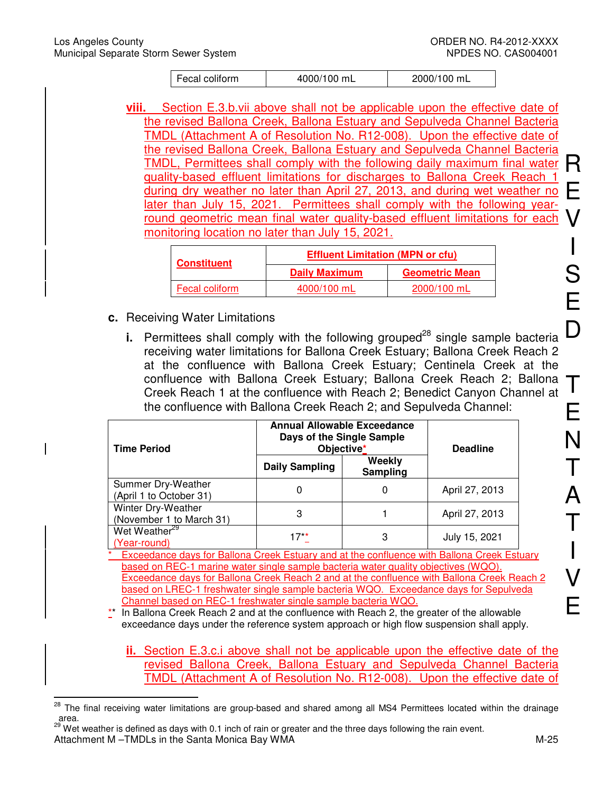| Fecal coliform | 4000/100 mL | 2000/100 mL |
|----------------|-------------|-------------|
|                |             |             |

TMDL, Permittees shall comply with the following daily maximum final water R **viii.** Section E.3.b.vii above shall not be applicable upon the effective date of the revised Ballona Creek, Ballona Estuary and Sepulveda Channel Bacteria TMDL (Attachment A of Resolution No. R12-008). Upon the effective date of the revised Ballona Creek, Ballona Estuary and Sepulveda Channel Bacteria quality-based effluent limitations for discharges to Ballona Creek Reach 1 during dry weather no later than April 27, 2013, and during wet weather no later than July 15, 2021. Permittees shall comply with the following yearround geometric mean final water quality-based effluent limitations for each monitoring location no later than July 15, 2021.

| <b>Constituent</b> | <b>Effluent Limitation (MPN or cfu)</b> |                       |  |
|--------------------|-----------------------------------------|-----------------------|--|
|                    | <b>Daily Maximum</b>                    | <b>Geometric Mean</b> |  |
| Fecal coliform     | 4000/100 mL                             | 2000/100 mL           |  |

- **c.** Receiving Water Limitations
	- **i.** Permittees shall comply with the following grouped<sup>28</sup> single sample bacteria receiving water limitations for Ballona Creek Estuary; Ballona Creek Reach 2 at the confluence with Ballona Creek Estuary; Centinela Creek at the confluence with Ballona Creek Estuary; Ballona Creek Reach 2; Ballona Creek Reach 1 at the confluence with Reach 2; Benedict Canyon Channel at the confluence with Ballona Creek Reach 2; and Sepulveda Channel:

| <b>Time Period</b>                             | <b>Annual Allowable Exceedance</b><br>Days of the Single Sample<br>Objective* |                    | <b>Deadline</b> |
|------------------------------------------------|-------------------------------------------------------------------------------|--------------------|-----------------|
|                                                | <b>Daily Sampling</b>                                                         | Weekly<br>Sampling |                 |
| Summer Dry-Weather<br>(April 1 to October 31)  | 0                                                                             |                    | April 27, 2013  |
| Winter Dry-Weather<br>(November 1 to March 31) | 3                                                                             |                    | April 27, 2013  |
| Wet Weather <sup>29</sup><br>(Year-round)      | $17**$                                                                        | 3                  | July 15, 2021   |

\* Exceedance days for Ballona Creek Estuary and at the confluence with Ballona Creek Estuary based on REC-1 marine water single sample bacteria water quality objectives (WQO). Exceedance days for Ballona Creek Reach 2 and at the confluence with Ballona Creek Reach 2 based on LREC-1 freshwater single sample bacteria WQO. Exceedance days for Sepulveda Channel based on REC-1 freshwater single sample bacteria WQO.

\*\* In Ballona Creek Reach 2 and at the confluence with Reach 2, the greater of the allowable exceedance days under the reference system approach or high flow suspension shall apply.

**ii.** Section E.3.c.i above shall not be applicable upon the effective date of the revised Ballona Creek, Ballona Estuary and Sepulveda Channel Bacteria TMDL (Attachment A of Resolution No. R12-008). Upon the effective date of

Attachment M –TMDLs in the Santa Monica Bay WMA M-25 <sup>29</sup> Wet weather is defined as days with 0.1 inch of rain or greater and the three days following the rain event.

<sup>28</sup> The final receiving water limitations are group-based and shared among all MS4 Permittees located within the drainage area.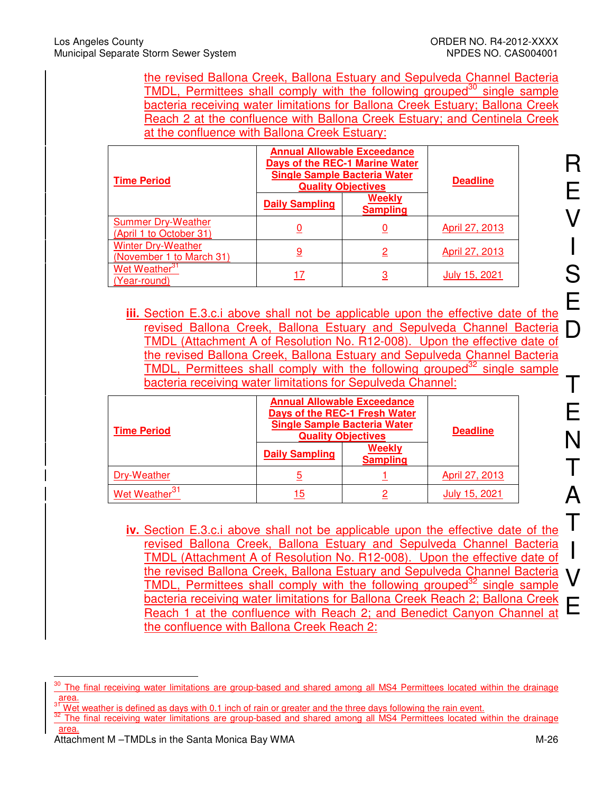the revised Ballona Creek, Ballona Estuary and Sepulveda Channel Bacteria TMDL, Permittees shall comply with the following grouped<sup>30</sup> single sample bacteria receiving water limitations for Ballona Creek Estuary; Ballona Creek Reach 2 at the confluence with Ballona Creek Estuary; and Centinela Creek at the confluence with Ballona Creek Estuary:

| <b>Time Period</b>                                    | <b>Annual Allowable Exceedance</b><br><b>Days of the REC-1 Marine Water</b><br><b>Single Sample Bacteria Water</b><br><b>Quality Objectives</b> |                           | <b>Deadline</b> |
|-------------------------------------------------------|-------------------------------------------------------------------------------------------------------------------------------------------------|---------------------------|-----------------|
|                                                       | <b>Daily Sampling</b>                                                                                                                           | Weekly<br><b>Sampling</b> |                 |
| <b>Summer Dry-Weather</b><br>(April 1 to October 31)  |                                                                                                                                                 |                           | April 27, 2013  |
| <b>Winter Dry-Weather</b><br>(November 1 to March 31) | <u>9</u>                                                                                                                                        | <u>2</u>                  | April 27, 2013  |
| Wet Weather <sup>31</sup><br>(Year-round)             | 17                                                                                                                                              | <u>3</u>                  | July 15, 2021   |

**iii.** Section E.3.c.i above shall not be applicable upon the effective date of the revised Ballona Creek, Ballona Estuary and Sepulveda Channel Bacteria TMDL (Attachment A of Resolution No. R12-008). Upon the effective date of the revised Ballona Creek, Ballona Estuary and Sepulveda Channel Bacteria TMDL, Permittees shall comply with the following grouped<sup>32</sup> single sample bacteria receiving water limitations for Sepulveda Channel:

| <b>Time Period</b>        | <b>Annual Allowable Exceedance</b><br>Days of the REC-1 Fresh Water<br><b>Single Sample Bacteria Water</b><br><b>Quality Objectives</b><br>Weekly<br><b>Daily Sampling</b><br><b>Sampling</b> |  | <b>Deadline</b> |
|---------------------------|-----------------------------------------------------------------------------------------------------------------------------------------------------------------------------------------------|--|-----------------|
| Dry-Weather               |                                                                                                                                                                                               |  | April 27, 2013  |
| Wet Weather <sup>31</sup> | 15                                                                                                                                                                                            |  | July 15, 2021   |

**iv.** Section E.3.c.i above shall not be applicable upon the effective date of the revised Ballona Creek, Ballona Estuary and Sepulveda Channel Bacteria TMDL (Attachment A of Resolution No. R12-008). Upon the effective date of the revised Ballona Creek, Ballona Estuary and Sepulveda Channel Bacteria TMDL. Permittees shall comply with the following grouped<sup>32</sup> single sample bacteria receiving water limitations for Ballona Creek Reach 2; Ballona Creek Reach 1 at the confluence with Reach 2; and Benedict Canyon Channel at the confluence with Ballona Creek Reach 2:

 $\overline{1}$ The final receiving water limitations are group-based and shared among all MS4 Permittees located within the drainage  $\frac{area}{31}$ 

Wet weather is defined as days with 0.1 inch of rain or greater and the three days following the rain event.

<sup>&</sup>lt;sup>32</sup> The final receiving water limitations are group-based and shared among all MS4 Permittees located within the drainage area.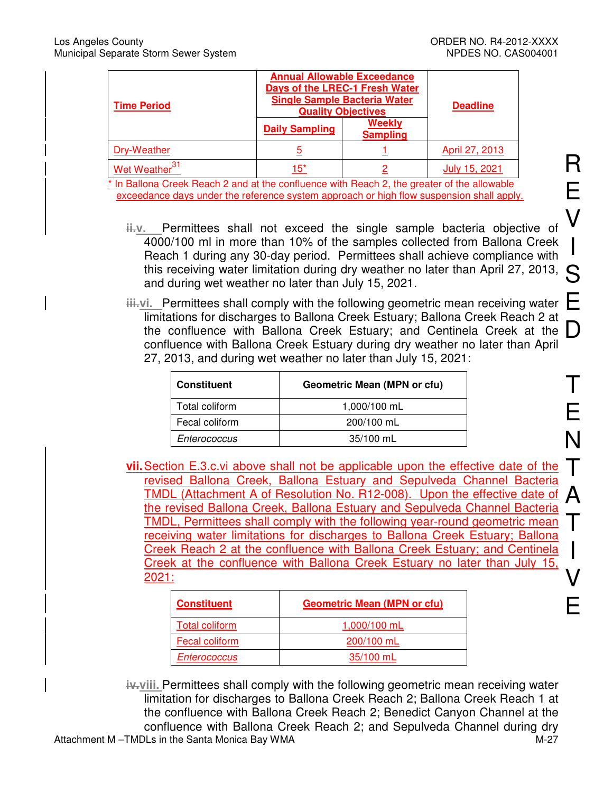| <b>Time Period</b>                | <b>Annual Allowable Exceedance</b><br>Days of the LREC-1 Fresh Water<br><b>Single Sample Bacteria Water</b><br><b>Quality Objectives</b> |                           | <b>Deadline</b> |
|-----------------------------------|------------------------------------------------------------------------------------------------------------------------------------------|---------------------------|-----------------|
|                                   | <b>Daily Sampling</b>                                                                                                                    | Weekly<br><b>Sampling</b> |                 |
| Dry-Weather                       | 5                                                                                                                                        |                           | April 27, 2013  |
| <u>Wet Weat</u> her <sup>31</sup> | $15^*$                                                                                                                                   | റ                         | July 15, 2021   |

\* In Ballona Creek Reach 2 and at the confluence with Reach 2, the greater of the allowable exceedance days under the reference system approach or high flow suspension shall apply.

- **ii.v.** Permittees shall not exceed the single sample bacteria objective of 4000/100 ml in more than 10% of the samples collected from Ballona Creek Reach 1 during any 30-day period. Permittees shall achieve compliance with this receiving water limitation during dry weather no later than April 27, 2013, and during wet weather no later than July 15, 2021.
- the confluence with Ballona Creek Estuary; and Centinela Creek at the Density of the confluence with Ballona Creek Estuary; and Centinela Creek at the D **iii.vi.** Permittees shall comply with the following geometric mean receiving water limitations for discharges to Ballona Creek Estuary; Ballona Creek Reach 2 at confluence with Ballona Creek Estuary during dry weather no later than April 27, 2013, and during wet weather no later than July 15, 2021:

| <b>Constituent</b> | <b>Geometric Mean (MPN or cfu)</b> |  |
|--------------------|------------------------------------|--|
| Total coliform     | 1,000/100 mL                       |  |
| Fecal coliform     | 200/100 mL                         |  |
| Enterococcus       | 35/100 mL                          |  |

**vii.** Section E.3.c.vi above shall not be applicable upon the effective date of the revised Ballona Creek, Ballona Estuary and Sepulveda Channel Bacteria TMDL (Attachment A of Resolution No. R12-008). Upon the effective date of the revised Ballona Creek, Ballona Estuary and Sepulveda Channel Bacteria TMDL, Permittees shall comply with the following year-round geometric mean receiving water limitations for discharges to Ballona Creek Estuary; Ballona Creek Reach 2 at the confluence with Ballona Creek Estuary; and Centinela Creek at the confluence with Ballona Creek Estuary no later than July 15, 2021:

| <b>Constituent</b>    | <b>Geometric Mean (MPN or cfu)</b> |
|-----------------------|------------------------------------|
| <b>Total coliform</b> | 1,000/100 mL                       |
| Fecal coliform        | 200/100 mL                         |
| Enterococcus          | 35/100 mL                          |

Attachment M –TMDLs in the Santa Monica Bay WMA M-27 **iv.viii.** Permittees shall comply with the following geometric mean receiving water limitation for discharges to Ballona Creek Reach 2; Ballona Creek Reach 1 at the confluence with Ballona Creek Reach 2; Benedict Canyon Channel at the confluence with Ballona Creek Reach 2; and Sepulveda Channel during dry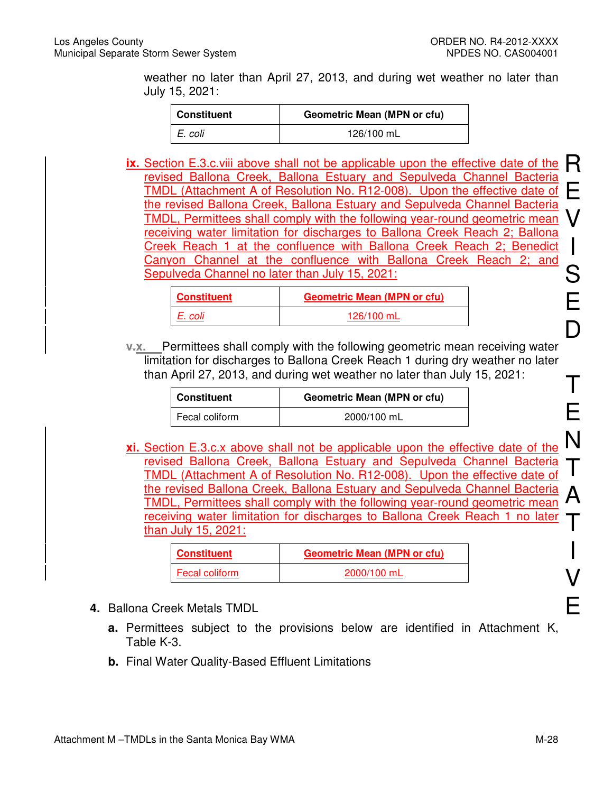weather no later than April 27, 2013, and during wet weather no later than July 15, 2021:

| Constituent | <b>Geometric Mean (MPN or cfu)</b> |  |
|-------------|------------------------------------|--|
| I E. coli   | 126/100 mL                         |  |

**ix.** Section E.3.c.viii above shall not be applicable upon the effective date of the R<br>revised Ballona Creek, Ballona Estuary and Sepulyeda Channel Bacteria E V I revised Ballona Creek, Ballona Estuary and Sepulveda Channel Bacteria TMDL (Attachment A of Resolution No. R12-008). Upon the effective date of the revised Ballona Creek, Ballona Estuary and Sepulveda Channel Bacteria TMDL, Permittees shall comply with the following year-round geometric mean receiving water limitation for discharges to Ballona Creek Reach 2; Ballona Creek Reach 1 at the confluence with Ballona Creek Reach 2; Benedict Canyon Channel at the confluence with Ballona Creek Reach 2; and Sepulveda Channel no later than July 15, 2021:

| <b>Constituent</b> | <b>Geometric Mean (MPN or cfu)</b> |
|--------------------|------------------------------------|
| E. coli            | 126/100 mL                         |

*v.x.* Permittees shall comply with the following geometric mean receiving water limitation for discharges to Ballona Creek Reach 1 during dry weather no later than April 27, 2013, and during wet weather no later than July 15, 2021:

| <b>Constituent</b> | <b>Geometric Mean (MPN or cfu)</b> |
|--------------------|------------------------------------|
| Fecal coliform     | 2000/100 mL                        |

**xi.** Section E.3.c.x above shall not be applicable upon the effective date of the revised Ballona Creek, Ballona Estuary and Sepulveda Channel Bacteria TMDL (Attachment A of Resolution No. R12-008). Upon the effective date of the revised Ballona Creek, Ballona Estuary and Sepulveda Channel Bacteria TMDL, Permittees shall comply with the following year-round geometric mean receiving water limitation for discharges to Ballona Creek Reach 1 no later than July 15, 2021:

| <b>Constituent</b> | <b>Geometric Mean (MPN or cfu)</b> |
|--------------------|------------------------------------|
| Fecal coliform     | 2000/100 mL                        |

- **4.** Ballona Creek Metals TMDL
	- **a.** Permittees subject to the provisions below are identified in Attachment K, Table K-3.
	- **b.** Final Water Quality-Based Effluent Limitations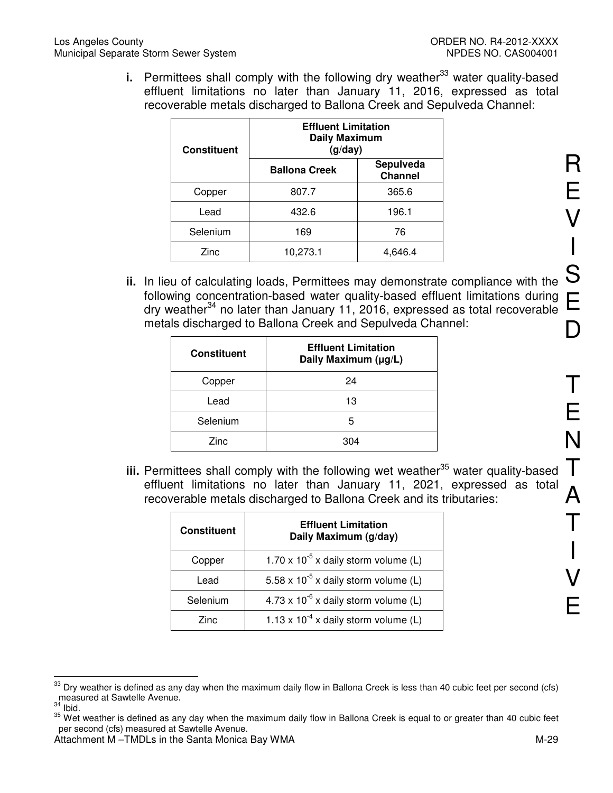**i.** Permittees shall comply with the following dry weather<sup>33</sup> water quality-based effluent limitations no later than January 11, 2016, expressed as total recoverable metals discharged to Ballona Creek and Sepulveda Channel:

| <b>Constituent</b> | <b>Effluent Limitation</b><br><b>Daily Maximum</b><br>(g/day) |                             |
|--------------------|---------------------------------------------------------------|-----------------------------|
|                    | <b>Ballona Creek</b>                                          | Sepulveda<br><b>Channel</b> |
| Copper             | 807.7                                                         | 365.6                       |
| Lead               | 432.6                                                         | 196.1                       |
| Selenium           | 169                                                           | 76                          |
| Zinc               | 10,273.1                                                      | 4,646.4                     |

**ii.** In lieu of calculating loads, Permittees may demonstrate compliance with the following concentration-based water quality-based effluent limitations during dry weather<sup>34</sup> no later than January 11, 2016, expressed as total recoverable metals discharged to Ballona Creek and Sepulveda Channel:

| <b>Constituent</b> | <b>Effluent Limitation</b><br>Daily Maximum (µg/L) |
|--------------------|----------------------------------------------------|
| Copper             | 24                                                 |
| Lead               | 13                                                 |
| Selenium           | 5                                                  |
| Zinc               | 304                                                |

**iii.** Permittees shall comply with the following wet weather<sup>35</sup> water quality-based effluent limitations no later than January 11, 2021, expressed as total recoverable metals discharged to Ballona Creek and its tributaries:

| <b>Constituent</b> | <b>Effluent Limitation</b><br>Daily Maximum (g/day) |
|--------------------|-----------------------------------------------------|
| Copper             | 1.70 x $10^{-5}$ x daily storm volume (L)           |
| Lead               | 5.58 x $10^{-5}$ x daily storm volume (L)           |
| Selenium           | $4.73 \times 10^{-6}$ x daily storm volume (L)      |
| Zinc               | 1.13 x $10^{-4}$ x daily storm volume (L)           |

 $\overline{a}$  $33$  Dry weather is defined as any day when the maximum daily flow in Ballona Creek is less than 40 cubic feet per second (cfs) measured at Sawtelle Avenue.

 $34$  Ibid.

 $35$  Wet weather is defined as any day when the maximum daily flow in Ballona Creek is equal to or greater than 40 cubic feet per second (cfs) measured at Sawtelle Avenue.

Attachment M –TMDLs in the Santa Monica Bay WMA M-29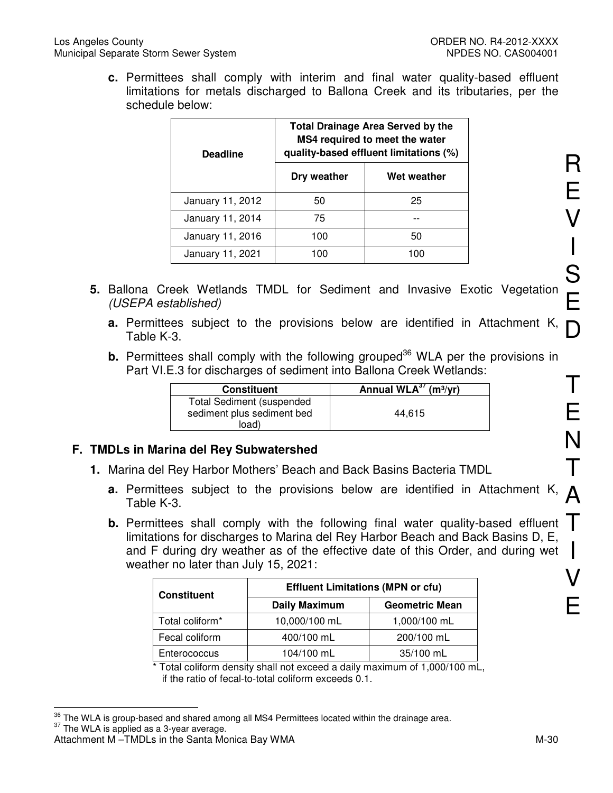**c.** Permittees shall comply with interim and final water quality-based effluent limitations for metals discharged to Ballona Creek and its tributaries, per the schedule below:

| <b>Deadline</b>  | <b>Total Drainage Area Served by the</b><br>MS4 required to meet the water<br>quality-based effluent limitations (%) |             |  |  |
|------------------|----------------------------------------------------------------------------------------------------------------------|-------------|--|--|
|                  | Dry weather                                                                                                          | Wet weather |  |  |
| January 11, 2012 | 50                                                                                                                   | 25          |  |  |
| January 11, 2014 | 75                                                                                                                   |             |  |  |
| January 11, 2016 | 100                                                                                                                  | 50          |  |  |
| January 11, 2021 | 100                                                                                                                  | 100         |  |  |

- **5.** Ballona Creek Wetlands TMDL for Sediment and Invasive Exotic Vegetation (USEPA established)
	- **a.** Permittees subject to the provisions below are identified in Attachment K, Table K-3.
	- **b.** Permittees shall comply with the following grouped<sup>36</sup> WLA per the provisions in Part VI.E.3 for discharges of sediment into Ballona Creek Wetlands:

| <b>Constituent</b>                                                       | Annual WLA <sup>3'</sup> (m <sup>3</sup> /yr) |
|--------------------------------------------------------------------------|-----------------------------------------------|
| <b>Total Sediment (suspended)</b><br>sediment plus sediment bed<br>load) | 44.615                                        |

## **F. TMDLs in Marina del Rey Subwatershed**

- **1.** Marina del Rey Harbor Mothers' Beach and Back Basins Bacteria TMDL
	- **a.** Permittees subject to the provisions below are identified in Attachment K, Table K-3.
	- **b.** Permittees shall comply with the following final water quality-based effluent  $\top$ limitations for discharges to Marina del Rey Harbor Beach and Back Basins D, E, and F during dry weather as of the effective date of this Order, and during wet weather no later than July 15, 2021:

| <b>Constituent</b>          | <b>Effluent Limitations (MPN or cfu)</b>      |              |  |  |
|-----------------------------|-----------------------------------------------|--------------|--|--|
|                             | <b>Daily Maximum</b><br><b>Geometric Mean</b> |              |  |  |
| Total coliform <sup>*</sup> | 10,000/100 mL                                 | 1,000/100 mL |  |  |
| Fecal coliform              | 400/100 mL                                    | 200/100 mL   |  |  |
| Enterococcus                | 104/100 mL                                    | 35/100 mL    |  |  |

<sup>\*</sup> Total coliform density shall not exceed a daily maximum of 1,000/100 mL, if the ratio of fecal-to-total coliform exceeds 0.1.

 $\overline{a}$ 

R

 $\frac{36}{2}$  The WLA is group-based and shared among all MS4 Permittees located within the drainage area.

 $37$  The WLA is applied as a 3-year average.

Attachment M –TMDLs in the Santa Monica Bay WMA M-30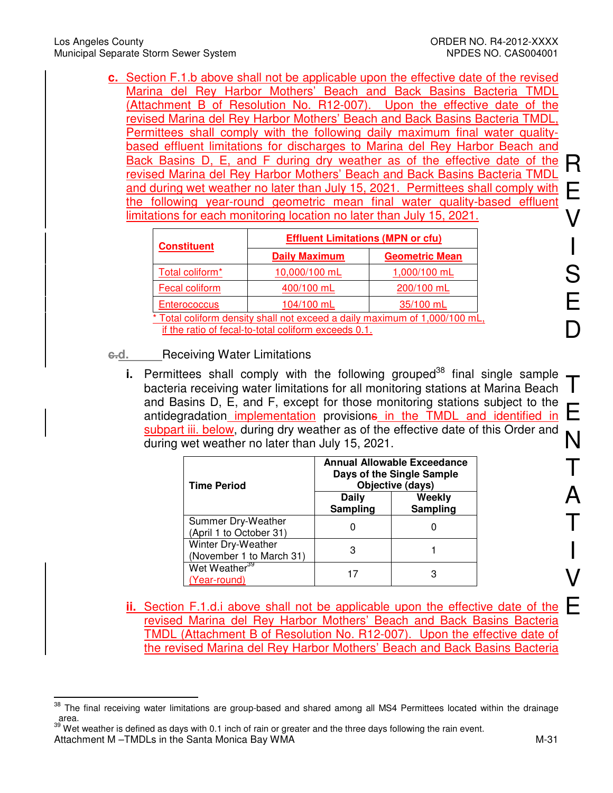**c.** Section F.1.b above shall not be applicable upon the effective date of the revised Marina del Rey Harbor Mothers' Beach and Back Basins Bacteria TMDL (Attachment B of Resolution No. R12-007). Upon the effective date of the revised Marina del Rey Harbor Mothers' Beach and Back Basins Bacteria TMDL, Permittees shall comply with the following daily maximum final water qualitybased effluent limitations for discharges to Marina del Rey Harbor Beach and Back Basins D, E, and F during dry weather as of the effective date of the revised Marina del Rey Harbor Mothers' Beach and Back Basins Bacteria TMDL and during wet weather no later than July 15, 2021. Permittees shall comply with the following year-round geometric mean final water quality-based effluent limitations for each monitoring location no later than July 15, 2021.

| <b>Constituent</b>                                                         | <b>Effluent Limitations (MPN or cfu)</b> |                       |  |  |  |
|----------------------------------------------------------------------------|------------------------------------------|-----------------------|--|--|--|
|                                                                            | <b>Daily Maximum</b>                     | <b>Geometric Mean</b> |  |  |  |
| Total coliform*                                                            | 10,000/100 mL                            | 1,000/100 mL          |  |  |  |
| Fecal coliform                                                             | 400/100 mL                               | 200/100 mL            |  |  |  |
| <b>Enterococcus</b>                                                        | 104/100 mL                               | 35/100 mL             |  |  |  |
| * Total coliform density shall not exceed a daily maximum of 1,000/100 mL, |                                          |                       |  |  |  |
| if the ratio of fecal-to-total coliform exceeds 0.1.                       |                                          |                       |  |  |  |

- **c.d.** Receiving Water Limitations
	- T E **i.** Permittees shall comply with the following grouped<sup>38</sup> final single sample bacteria receiving water limitations for all monitoring stations at Marina Beach and Basins D, E, and F, except for those monitoring stations subject to the antidegradation implementation provisions in the TMDL and identified in subpart iii. below, during dry weather as of the effective date of this Order and during wet weather no later than July 15, 2021.

| <b>Time Period</b>                             | <b>Annual Allowable Exceedance</b><br>Days of the Single Sample<br>Objective (days) |                    |  |  |
|------------------------------------------------|-------------------------------------------------------------------------------------|--------------------|--|--|
|                                                | Daily<br><b>Sampling</b>                                                            | Weekly<br>Sampling |  |  |
| Summer Dry-Weather<br>(April 1 to October 31)  |                                                                                     |                    |  |  |
| Winter Dry-Weather<br>(November 1 to March 31) | З                                                                                   |                    |  |  |
| Wet Weather <sup>39</sup><br>(Year-round)      |                                                                                     |                    |  |  |

E **ii.** Section F.1.d.i above shall not be applicable upon the effective date of the revised Marina del Rey Harbor Mothers' Beach and Back Basins Bacteria TMDL (Attachment B of Resolution No. R12-007). Upon the effective date of the revised Marina del Rey Harbor Mothers' Beach and Back Basins Bacteria

V

R

E

V

I

S

E

D

<sup>38</sup> <sup>38</sup> The final receiving water limitations are group-based and shared among all MS4 Permittees located within the drainage area.

Attachment M –TMDLs in the Santa Monica Bay WMA M-31 <sup>39</sup> Wet weather is defined as days with 0.1 inch of rain or greater and the three days following the rain event.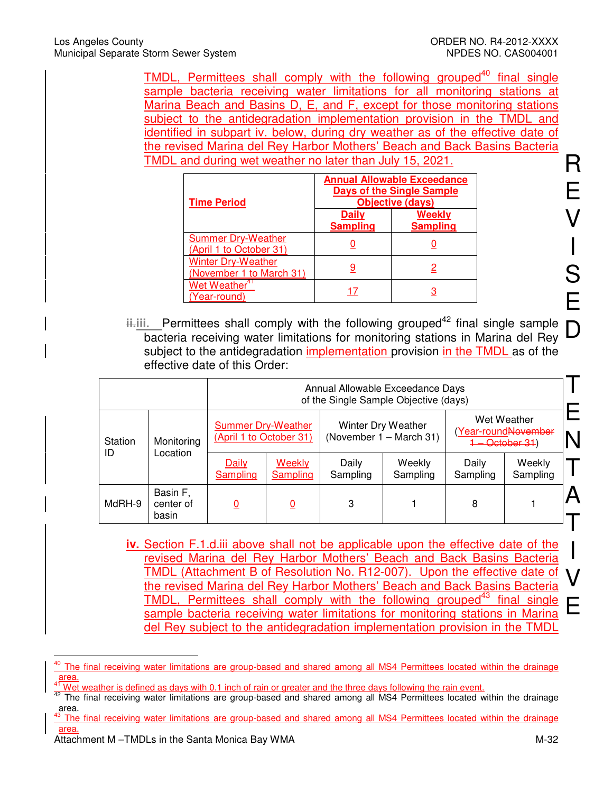TMDL, Permittees shall comply with the following grouped<sup>40</sup> final single sample bacteria receiving water limitations for all monitoring stations at Marina Beach and Basins D, E, and F, except for those monitoring stations subject to the antidegradation implementation provision in the TMDL and identified in subpart iv. below, during dry weather as of the effective date of the revised Marina del Rey Harbor Mothers' Beach and Back Basins Bacteria TMDL and during wet weather no later than July 15, 2021.

| <b>Time Period</b>                                    | <b>Annual Allowable Exceedance</b><br><b>Days of the Single Sample</b><br>Objective (days) |                           |  |  |
|-------------------------------------------------------|--------------------------------------------------------------------------------------------|---------------------------|--|--|
|                                                       | Dailv<br><b>Sampling</b>                                                                   | Weekly<br><b>Sampling</b> |  |  |
| <b>Summer Dry-Weather</b><br>(April 1 to October 31)  |                                                                                            |                           |  |  |
| <b>Winter Dry-Weather</b><br>(November 1 to March 31) |                                                                                            |                           |  |  |
| Wet Weather <sup>4</sup><br>(Year-round)              |                                                                                            |                           |  |  |

**ii.iii.** Permittees shall comply with the following grouped<sup>42</sup> final single sample bacteria receiving water limitations for monitoring stations in Marina del Rey subject to the antidegradation implementation provision in the TMDL as of the effective date of this Order:

|                       |                                | Annual Allowable Exceedance Days<br>of the Single Sample Objective (days) |                           |                                                      |                    |                                                                   |                    |  |
|-----------------------|--------------------------------|---------------------------------------------------------------------------|---------------------------|------------------------------------------------------|--------------------|-------------------------------------------------------------------|--------------------|--|
| Station<br>Monitoring |                                | <b>Summer Dry-Weather</b><br>(April 1 to October 31)                      |                           | <b>Winter Dry Weather</b><br>(November 1 - March 31) |                    | Wet Weather<br>(Year-roundNovember<br><del>1 – October 31</del> ) |                    |  |
| ID                    | Location                       | Daily<br>Sampling                                                         | Weekly<br><b>Sampling</b> | Daily<br>Sampling                                    | Weekly<br>Sampling | Daily<br>Sampling                                                 | Weekly<br>Sampling |  |
| MdRH-9                | Basin F,<br>center of<br>basin |                                                                           | 0                         | 3                                                    |                    | 8                                                                 |                    |  |

**iv.** Section F.1.d.iii above shall not be applicable upon the effective date of the revised Marina del Rey Harbor Mothers' Beach and Back Basins Bacteria TMDL (Attachment B of Resolution No. R12-007). Upon the effective date of the revised Marina del Rey Harbor Mothers' Beach and Back Basins Bacteria TMDL, Permittees shall comply with the following grouped<sup>43</sup> final single sample bacteria receiving water limitations for monitoring stations in Marina del Rey subject to the antidegradation implementation provision in the TMDL

I

V

 $\overline{1}$ <sup>40</sup> The final receiving water limitations are group-based and shared among all MS4 Permittees located within the drainage  $\frac{area}{41}$ .

Wet weather is defined as days with 0.1 inch of rain or greater and the three days following the rain event.

<sup>&</sup>lt;sup>42</sup> The final receiving water limitations are group-based and shared among all MS4 Permittees located within the drainage area.

The final receiving water limitations are group-based and shared among all MS4 Permittees located within the drainage area.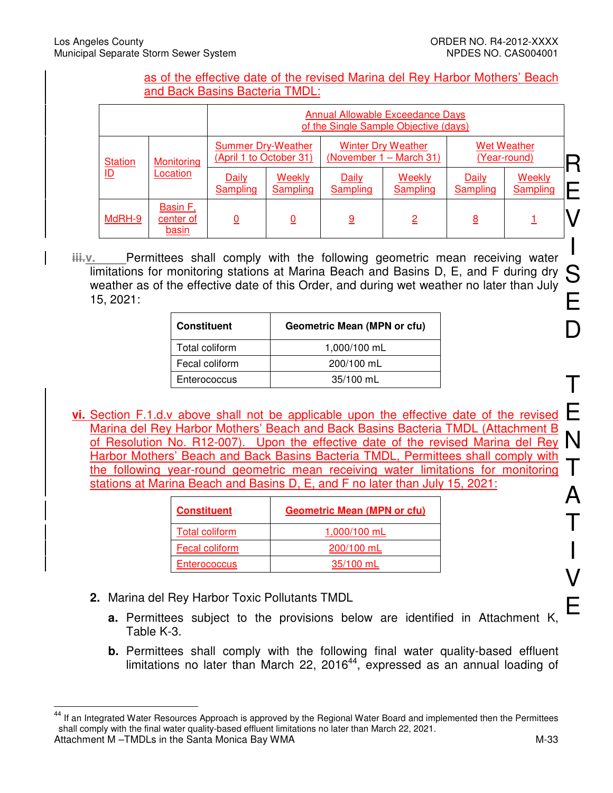#### as of the effective date of the revised Marina del Rey Harbor Mothers' Beach and Back Basins Bacteria TMDL:

|                           |                                |                                                      | <b>Annual Allowable Exceedance Days</b><br>of the Single Sample Objective (days) |                          |                                                      |                          |                                    |
|---------------------------|--------------------------------|------------------------------------------------------|----------------------------------------------------------------------------------|--------------------------|------------------------------------------------------|--------------------------|------------------------------------|
| <b>Station</b>            | Monitoring                     | <b>Summer Dry-Weather</b><br>(April 1 to October 31) |                                                                                  |                          | <b>Winter Dry Weather</b><br>(November 1 – March 31) |                          | <b>Wet Weather</b><br>(Year-round) |
| $\underline{\mathsf{ID}}$ | Location                       | Daily<br><b>Sampling</b>                             | Weekly<br><b>Sampling</b>                                                        | Daily<br><b>Sampling</b> | <b>Weekly</b><br><b>Sampling</b>                     | Daily<br><b>Sampling</b> | Weekly<br><b>Sampling</b>          |
| MdRH-9                    | Basin F,<br>center of<br>basin | 0                                                    | $\overline{0}$                                                                   | 9                        | $\overline{2}$                                       | <u>8</u>                 |                                    |

S E **iii.v.** Permittees shall comply with the following geometric mean receiving water limitations for monitoring stations at Marina Beach and Basins D, E, and F during dry weather as of the effective date of this Order, and during wet weather no later than July 15, 2021:

| <b>Constituent</b> | Geometric Mean (MPN or cfu) |
|--------------------|-----------------------------|
| Total coliform     | 1,000/100 mL                |
| Fecal coliform     | 200/100 mL                  |
| Enterococcus       | 35/100 mL                   |

Marina der riey Harbor Mothers Beach and Back Basins Bacteria TMBL (Attachment B<br>of Resolution No. R12-007). Upon the effective date of the revised Marina del Rey N **vi.** Section F.1.d.v above shall not be applicable upon the effective date of the revised Marina del Rey Harbor Mothers' Beach and Back Basins Bacteria TMDL (Attachment B Harbor Mothers' Beach and Back Basins Bacteria TMDL, Permittees shall comply with the following year-round geometric mean receiving water limitations for monitoring stations at Marina Beach and Basins D, E, and F no later than July 15, 2021:

| <b>Constituent</b>    | <b>Geometric Mean (MPN or cfu)</b> |
|-----------------------|------------------------------------|
| <b>Total coliform</b> | 1,000/100 mL                       |
| Fecal coliform        | 200/100 mL                         |
| <b>Enterococcus</b>   | 35/100 mL                          |

- **2.** Marina del Rey Harbor Toxic Pollutants TMDL
	- **a.** Permittees subject to the provisions below are identified in Attachment K, Table K-3.
	- **b.** Permittees shall comply with the following final water quality-based effluent limitations no later than March 22, 2016<sup>44</sup>, expressed as an annual loading of

 $\overline{\phantom{a}}$ 

Attachment M –TMDLs in the Santa Monica Bay WMA M-33 <sup>44</sup> If an Integrated Water Resources Approach is approved by the Regional Water Board and implemented then the Permittees shall comply with the final water quality-based effluent limitations no later than March 22, 2021.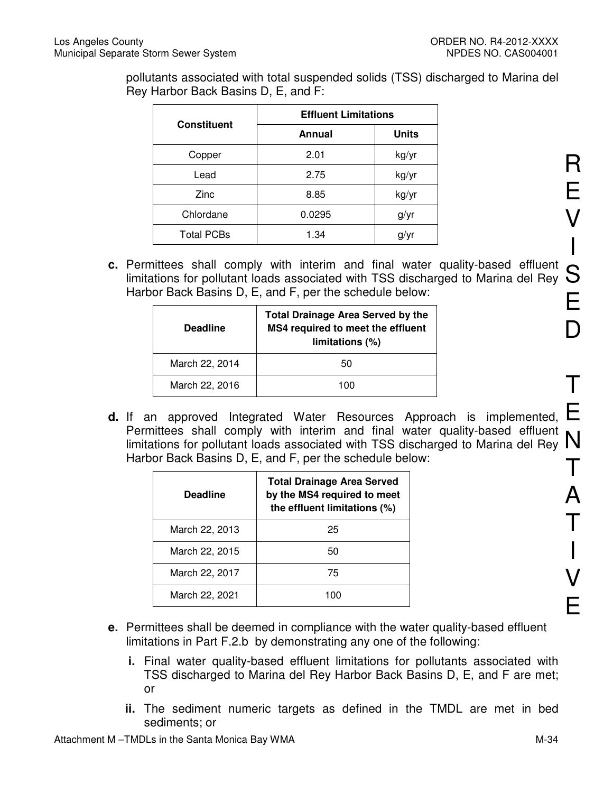pollutants associated with total suspended solids (TSS) discharged to Marina del Rey Harbor Back Basins D, E, and F:

|                    | <b>Effluent Limitations</b> |              |  |  |
|--------------------|-----------------------------|--------------|--|--|
| <b>Constituent</b> | Annual                      | <b>Units</b> |  |  |
| Copper             | 2.01                        | kg/yr        |  |  |
| Lead               | 2.75                        | kg/yr        |  |  |
| Zinc               | 8.85                        | kg/yr        |  |  |
| Chlordane          | 0.0295                      | g/yr         |  |  |
| <b>Total PCBs</b>  | 1.34                        | g/yr         |  |  |

Fermities shall comply with interim and linal water quality-based emberit  $\mathcal S$ <br>limitations for pollutant loads associated with TSS discharged to Marina del Rey  $\mathcal S$ **c.** Permittees shall comply with interim and final water quality-based effluent Harbor Back Basins D, E, and F, per the schedule below:

| <b>Deadline</b> | <b>Total Drainage Area Served by the</b><br>MS4 required to meet the effluent<br>limitations (%) |
|-----------------|--------------------------------------------------------------------------------------------------|
| March 22, 2014  | 50                                                                                               |
| March 22, 2016  | 100                                                                                              |

Permittees shall comply with interim and linal water quality-based emuent  $N$ <br>limitations for pollutant loads associated with TSS discharged to Marina del Rey  $N$ **d.** If an approved Integrated Water Resources Approach is implemented, Permittees shall comply with interim and final water quality-based effluent Harbor Back Basins D, E, and F, per the schedule below:

| <b>Deadline</b> | <b>Total Drainage Area Served</b><br>by the MS4 required to meet<br>the effluent limitations (%) |
|-----------------|--------------------------------------------------------------------------------------------------|
| March 22, 2013  | 25                                                                                               |
| March 22, 2015  | 50                                                                                               |
| March 22, 2017  | 75                                                                                               |
| March 22, 2021  |                                                                                                  |

- **e.** Permittees shall be deemed in compliance with the water quality-based effluent limitations in Part F.2.b by demonstrating any one of the following:
	- **i.** Final water quality-based effluent limitations for pollutants associated with TSS discharged to Marina del Rey Harbor Back Basins D, E, and F are met; or
	- **ii.** The sediment numeric targets as defined in the TMDL are met in bed sediments; or

R